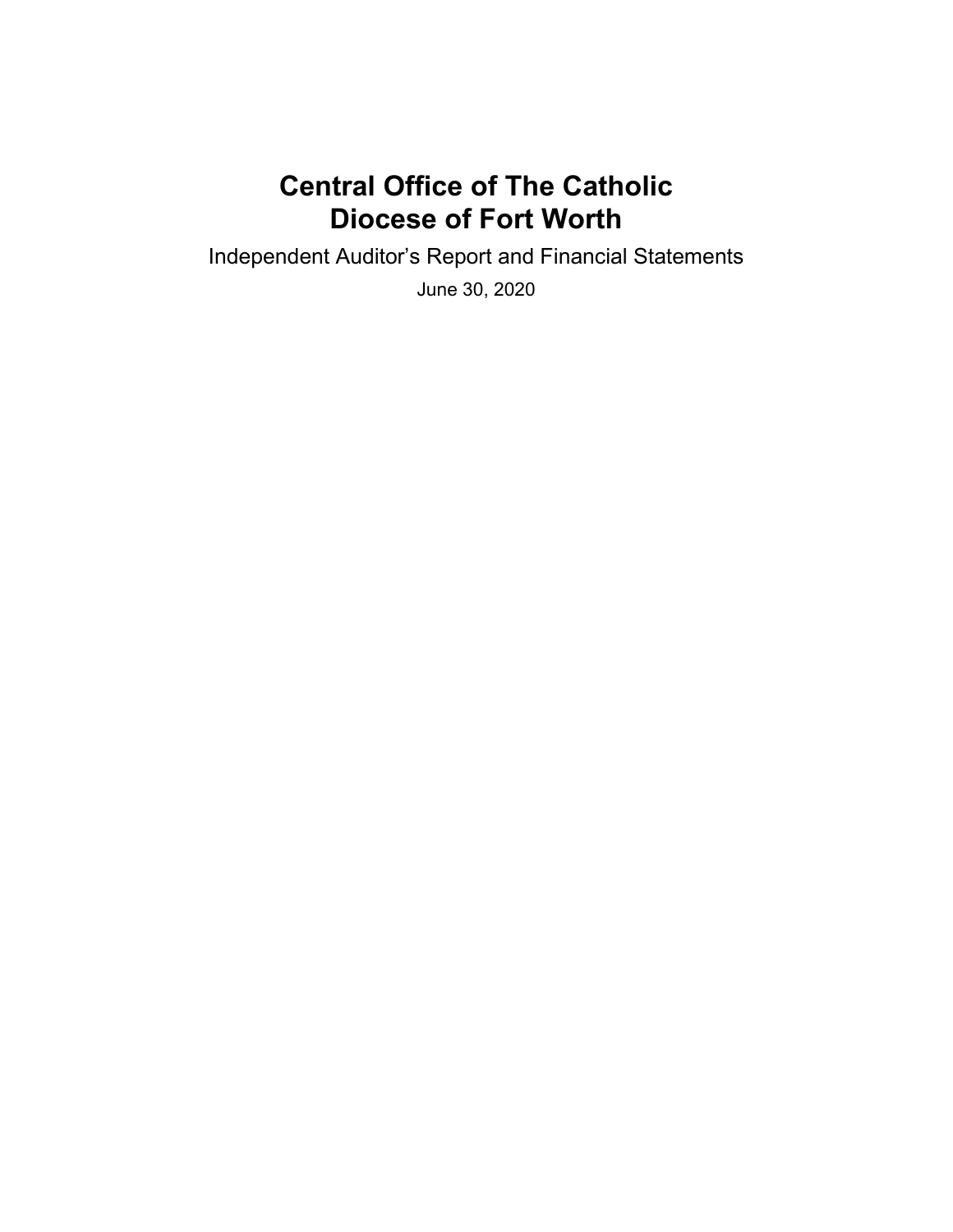Independent Auditor's Report and Financial Statements

June 30, 2020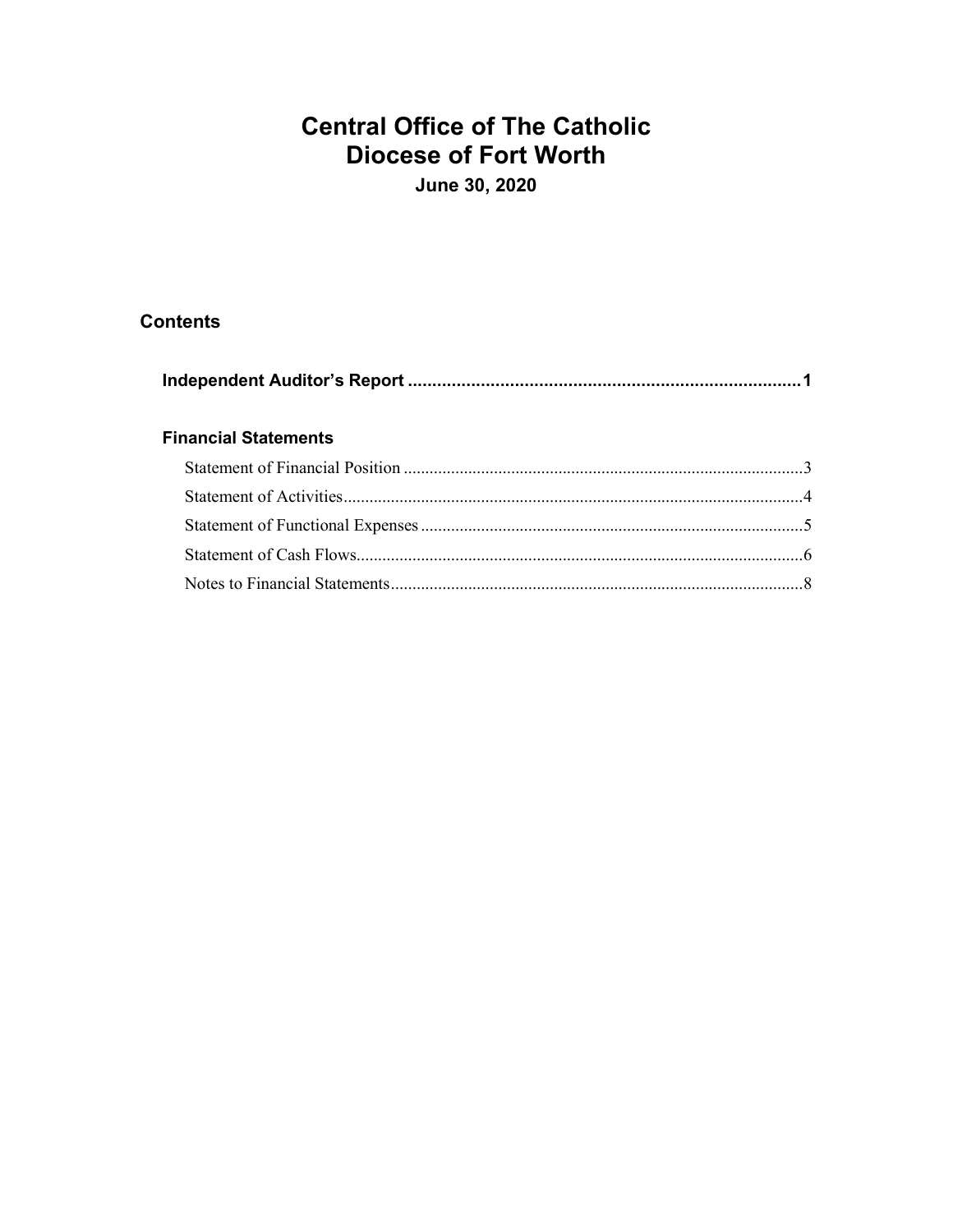June 30, 2020

## **Contents**

| <b>Financial Statements</b> |  |
|-----------------------------|--|
|                             |  |
|                             |  |
|                             |  |
|                             |  |
|                             |  |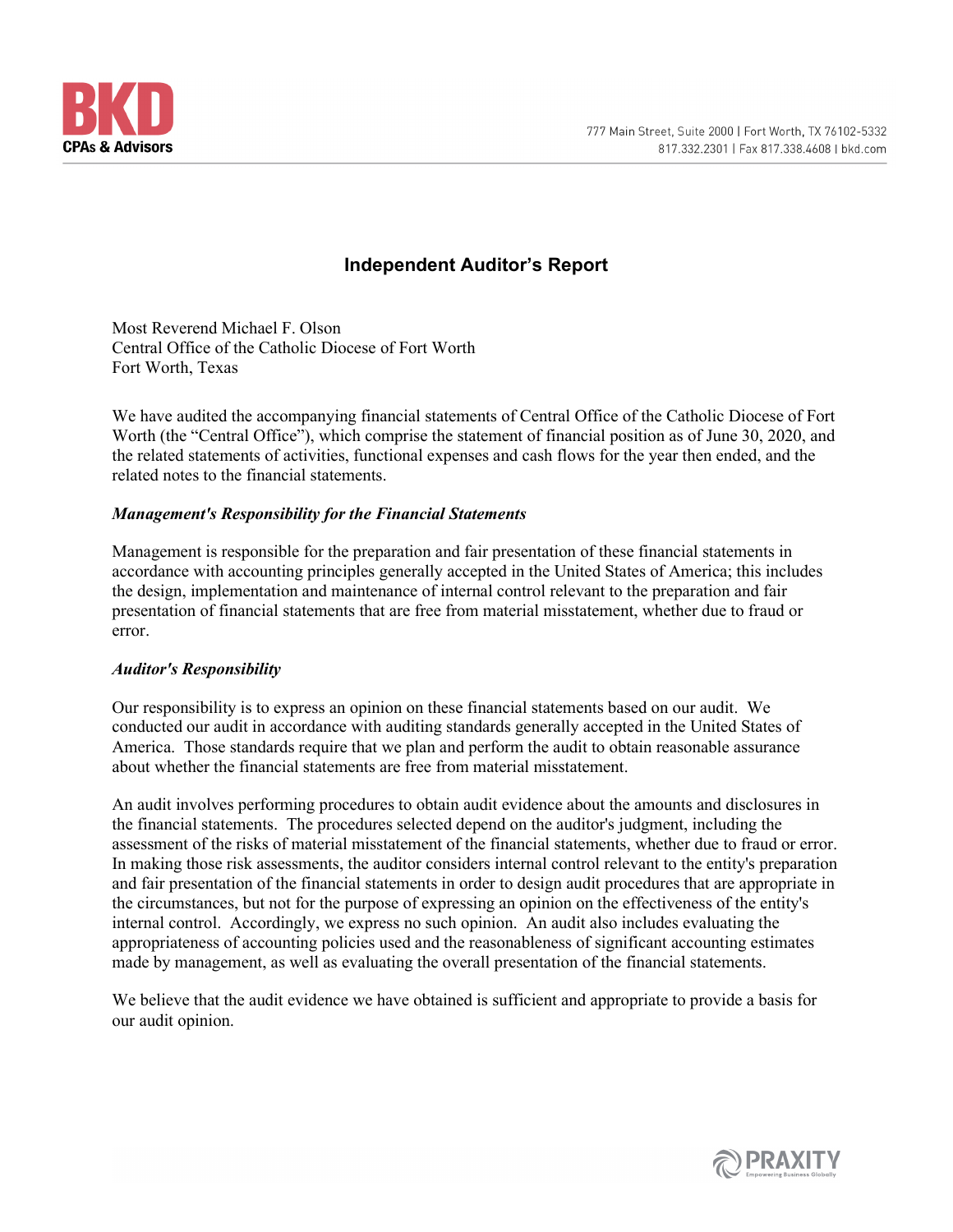

## **Independent Auditor's Report**

Most Reverend Michael F. Olson Central Office of the Catholic Diocese of Fort Worth Fort Worth, Texas

We have audited the accompanying financial statements of Central Office of the Catholic Diocese of Fort Worth (the "Central Office"), which comprise the statement of financial position as of June 30, 2020, and the related statements of activities, functional expenses and cash flows for the year then ended, and the related notes to the financial statements.

### *Management's Responsibility for the Financial Statements*

Management is responsible for the preparation and fair presentation of these financial statements in accordance with accounting principles generally accepted in the United States of America; this includes the design, implementation and maintenance of internal control relevant to the preparation and fair presentation of financial statements that are free from material misstatement, whether due to fraud or error.

#### *Auditor's Responsibility*

Our responsibility is to express an opinion on these financial statements based on our audit. We conducted our audit in accordance with auditing standards generally accepted in the United States of America. Those standards require that we plan and perform the audit to obtain reasonable assurance about whether the financial statements are free from material misstatement.

An audit involves performing procedures to obtain audit evidence about the amounts and disclosures in the financial statements. The procedures selected depend on the auditor's judgment, including the assessment of the risks of material misstatement of the financial statements, whether due to fraud or error. In making those risk assessments, the auditor considers internal control relevant to the entity's preparation and fair presentation of the financial statements in order to design audit procedures that are appropriate in the circumstances, but not for the purpose of expressing an opinion on the effectiveness of the entity's internal control. Accordingly, we express no such opinion. An audit also includes evaluating the appropriateness of accounting policies used and the reasonableness of significant accounting estimates made by management, as well as evaluating the overall presentation of the financial statements.

We believe that the audit evidence we have obtained is sufficient and appropriate to provide a basis for our audit opinion.

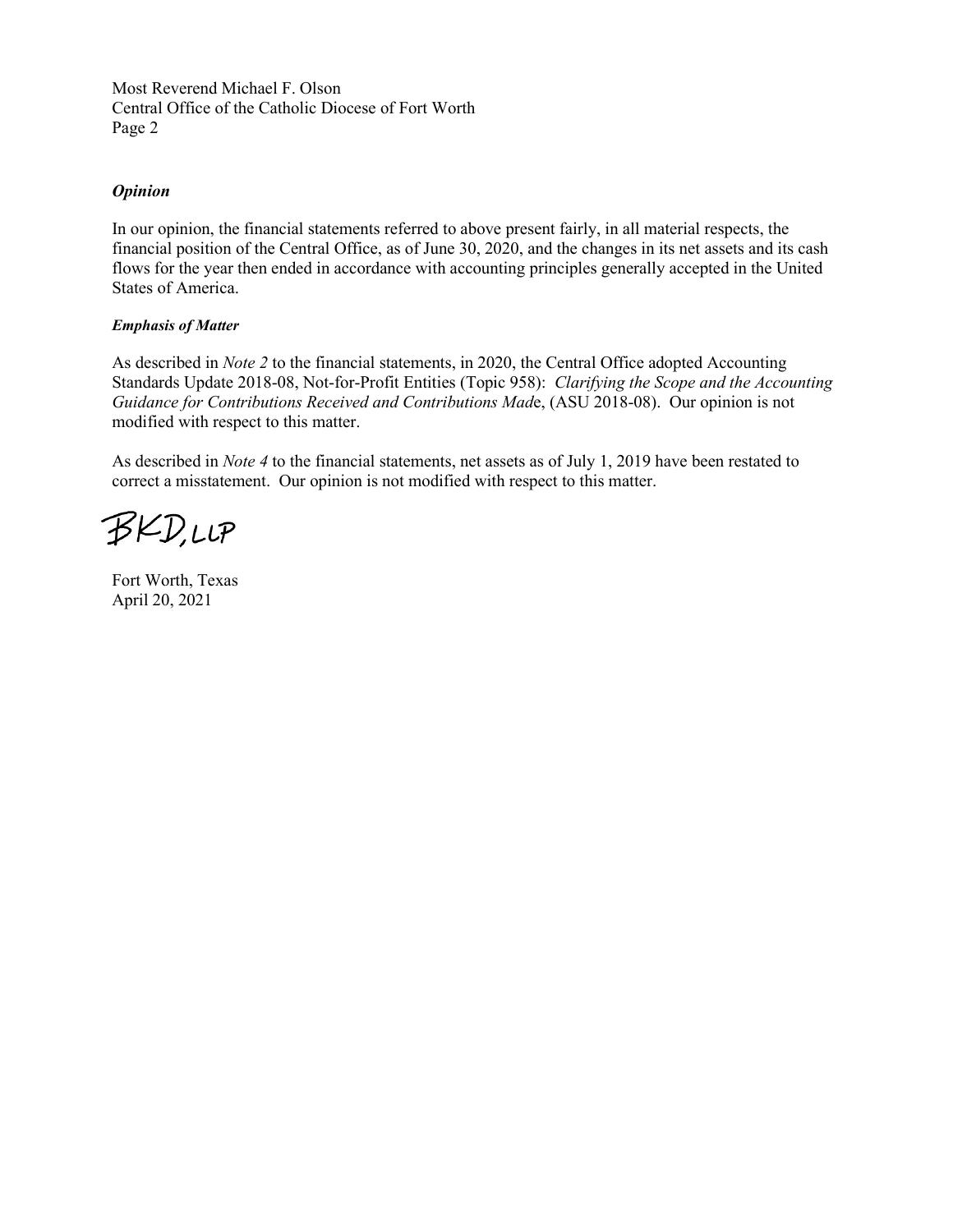Most Reverend Michael F. Olson Central Office of the Catholic Diocese of Fort Worth Page 2

#### *Opinion*

In our opinion, the financial statements referred to above present fairly, in all material respects, the financial position of the Central Office, as of June 30, 2020, and the changes in its net assets and its cash flows for the year then ended in accordance with accounting principles generally accepted in the United States of America.

#### *Emphasis of Matter*

As described in *Note 2* to the financial statements, in 2020, the Central Office adopted Accounting Standards Update 2018-08, Not-for-Profit Entities (Topic 958): *Clarifying the Scope and the Accounting Guidance for Contributions Received and Contributions Mad*e, (ASU 2018-08). Our opinion is not modified with respect to this matter.

As described in *Note 4* to the financial statements, net assets as of July 1, 2019 have been restated to correct a misstatement. Our opinion is not modified with respect to this matter.

**BKD,LLP** 

Fort Worth, Texas April 20, 2021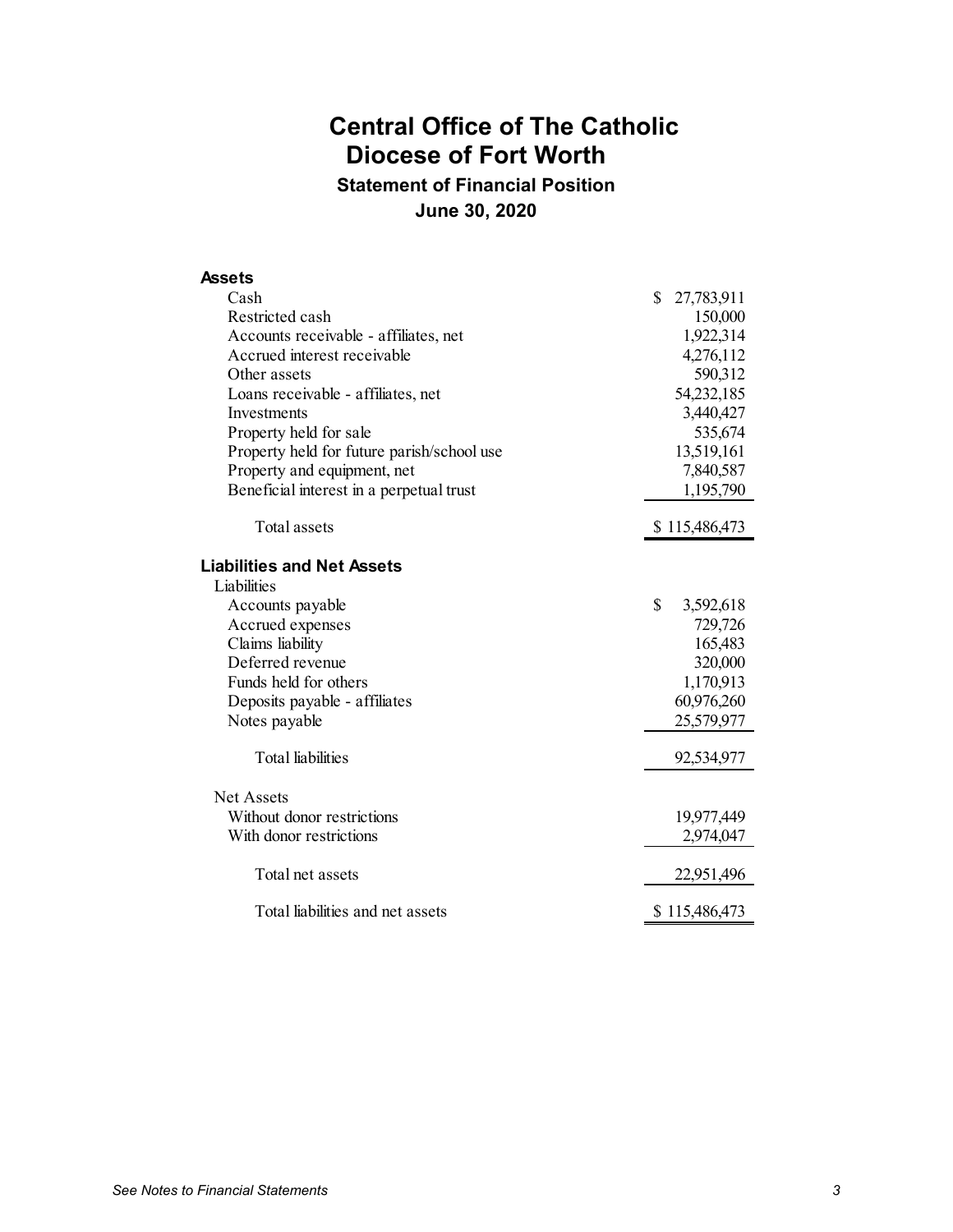**Statement of Financial Position June 30, 2020**

| <b>Assets</b>                              |                  |
|--------------------------------------------|------------------|
| Cash                                       | \$<br>27,783,911 |
| Restricted cash                            | 150,000          |
| Accounts receivable - affiliates, net      | 1,922,314        |
| Accrued interest receivable                | 4,276,112        |
| Other assets                               | 590,312          |
| Loans receivable - affiliates, net         | 54,232,185       |
| Investments                                | 3,440,427        |
| Property held for sale                     | 535,674          |
| Property held for future parish/school use | 13,519,161       |
| Property and equipment, net                | 7,840,587        |
| Beneficial interest in a perpetual trust   | 1,195,790        |
| Total assets                               | \$115,486,473    |
| <b>Liabilities and Net Assets</b>          |                  |
| Liabilities                                |                  |
| Accounts payable                           | \$<br>3,592,618  |
| Accrued expenses                           | 729,726          |
| Claims liability                           | 165,483          |
| Deferred revenue                           | 320,000          |
| Funds held for others                      | 1,170,913        |
| Deposits payable - affiliates              | 60,976,260       |
| Notes payable                              | 25,579,977       |
| Total liabilities                          | 92,534,977       |
| <b>Net Assets</b>                          |                  |
| Without donor restrictions                 | 19,977,449       |
| With donor restrictions                    | 2,974,047        |
| Total net assets                           | 22,951,496       |
| Total liabilities and net assets           | \$115,486,473    |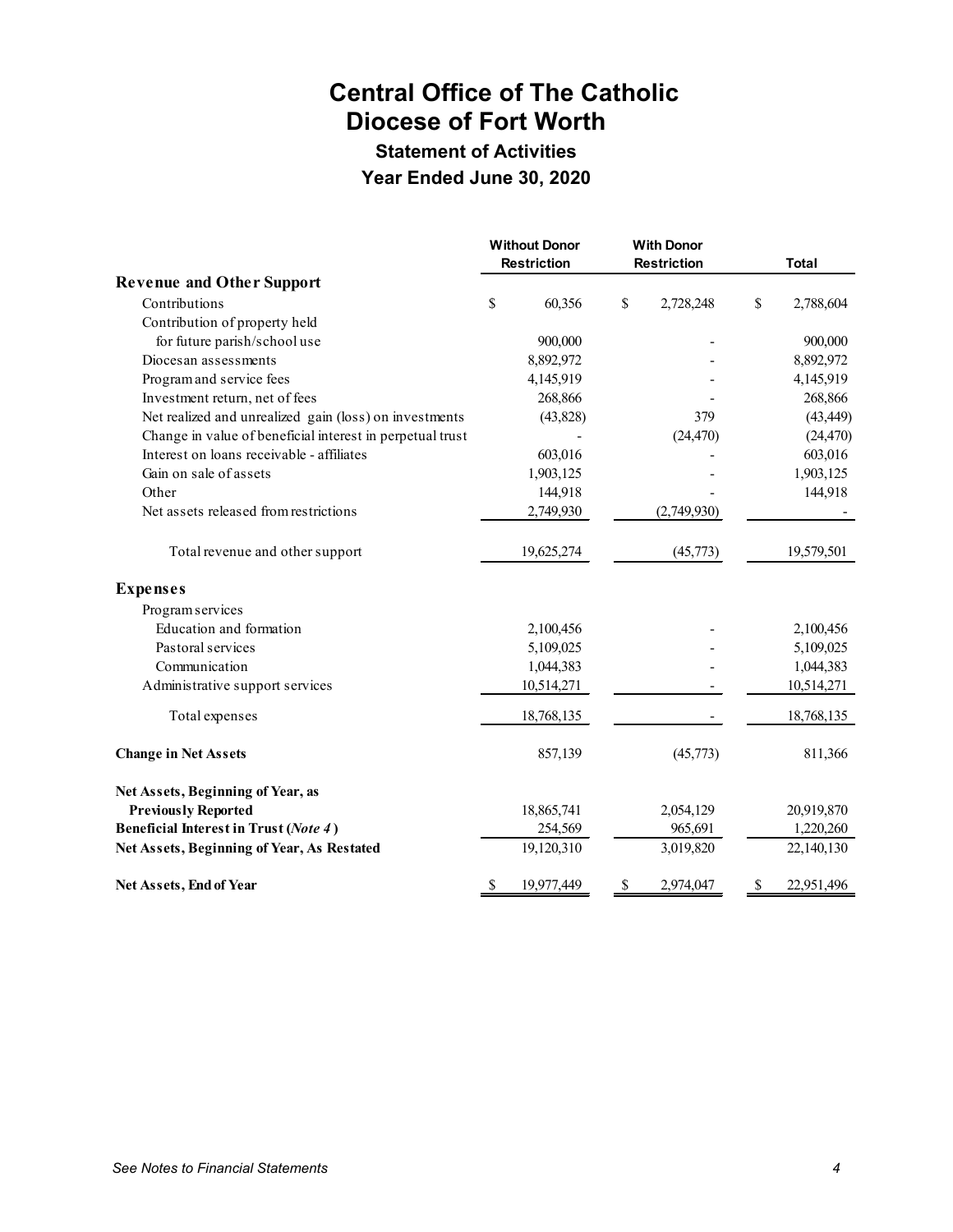# **Statement of Activities**

**Year Ended June 30, 2020**

|                                                           | <b>Without Donor</b><br><b>With Donor</b><br><b>Restriction</b><br><b>Restriction</b> |           |                 | <b>Total</b> |            |  |
|-----------------------------------------------------------|---------------------------------------------------------------------------------------|-----------|-----------------|--------------|------------|--|
| <b>Revenue and Other Support</b>                          |                                                                                       |           |                 |              |            |  |
| Contributions                                             | \$                                                                                    | 60,356    | \$<br>2,728,248 | $\mathbb{S}$ | 2,788,604  |  |
| Contribution of property held                             |                                                                                       |           |                 |              |            |  |
| for future parish/school use                              |                                                                                       | 900,000   |                 |              | 900,000    |  |
| Diocesan assessments                                      |                                                                                       | 8,892,972 |                 |              | 8,892,972  |  |
| Program and service fees                                  |                                                                                       | 4,145,919 |                 |              | 4,145,919  |  |
| Investment return, net of fees                            |                                                                                       | 268,866   |                 |              | 268,866    |  |
| Net realized and unrealized gain (loss) on investments    |                                                                                       | (43,828)  | 379             |              | (43, 449)  |  |
| Change in value of beneficial interest in perpetual trust |                                                                                       |           | (24, 470)       |              | (24, 470)  |  |
| Interest on loans receivable - affiliates                 |                                                                                       | 603,016   |                 |              | 603,016    |  |
| Gain on sale of assets                                    |                                                                                       | 1,903,125 |                 |              | 1,903,125  |  |
| Other                                                     |                                                                                       | 144,918   |                 |              | 144,918    |  |
| Net assets released from restrictions                     |                                                                                       | 2,749,930 | (2,749,930)     |              |            |  |
| Total revenue and other support                           | 19,625,274                                                                            |           | (45,773)        |              | 19,579,501 |  |
| <b>Expenses</b>                                           |                                                                                       |           |                 |              |            |  |
| Program services                                          |                                                                                       |           |                 |              |            |  |
| Education and formation                                   |                                                                                       | 2,100,456 |                 |              | 2,100,456  |  |
| Pastoral services                                         |                                                                                       | 5,109,025 |                 |              | 5,109,025  |  |
| Communication                                             |                                                                                       | 1,044,383 |                 |              | 1,044,383  |  |
| Administrative support services                           | 10,514,271                                                                            |           |                 |              | 10,514,271 |  |
| Total expenses                                            | 18,768,135                                                                            |           |                 |              | 18,768,135 |  |
| <b>Change in Net Assets</b>                               |                                                                                       | 857,139   | (45,773)        |              | 811,366    |  |
| Net Assets, Beginning of Year, as                         |                                                                                       |           |                 |              |            |  |
| <b>Previously Reported</b>                                | 18,865,741                                                                            |           | 2,054,129       |              | 20,919,870 |  |
| Beneficial Interest in Trust (Note 4)                     |                                                                                       | 254,569   | 965,691         |              | 1,220,260  |  |
| Net Assets, Beginning of Year, As Restated                | 19,120,310                                                                            |           | 3,019,820       |              | 22,140,130 |  |
| Net Assets, End of Year                                   | \$<br>19,977,449                                                                      |           | \$<br>2,974,047 | \$           | 22,951,496 |  |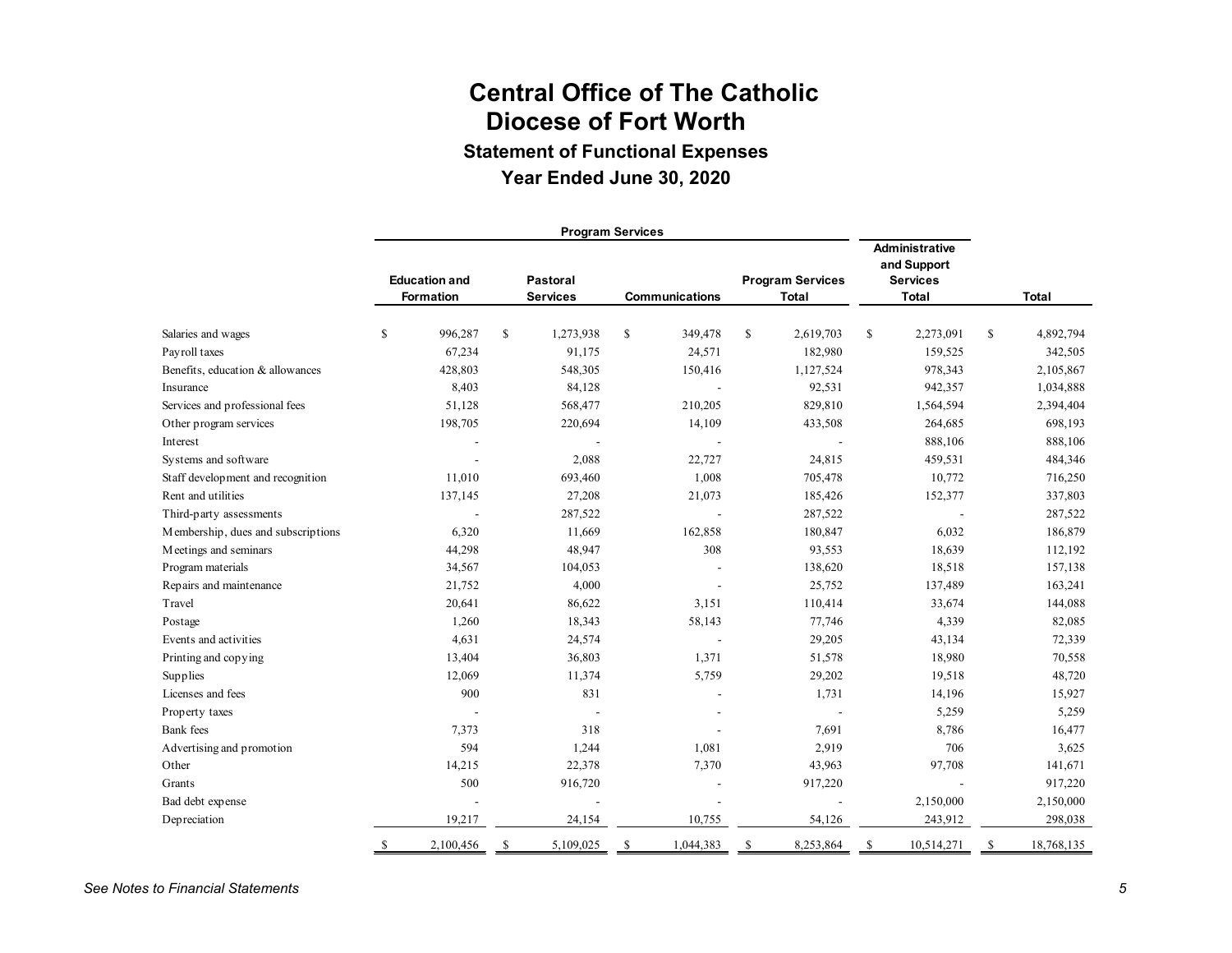**Statement of Functional Expenses**

## **Year Ended June 30, 2020**

|                                    | <b>Program Services</b> |                                          |              |                             |               |                       |               |                                         |     |                                                                         |    |              |
|------------------------------------|-------------------------|------------------------------------------|--------------|-----------------------------|---------------|-----------------------|---------------|-----------------------------------------|-----|-------------------------------------------------------------------------|----|--------------|
|                                    |                         | <b>Education and</b><br><b>Formation</b> |              | Pastoral<br><b>Services</b> |               | <b>Communications</b> |               | <b>Program Services</b><br><b>Total</b> |     | <b>Administrative</b><br>and Support<br><b>Services</b><br><b>Total</b> |    | <b>Total</b> |
| Salaries and wages                 | \$                      | 996,287                                  | $\mathbb{S}$ | 1,273,938                   | \$            | 349,478               | <sup>\$</sup> | 2,619,703                               | \$  | 2,273,091                                                               | \$ | 4,892,794    |
| Payroll taxes                      |                         | 67,234                                   |              | 91,175                      |               | 24,571                |               | 182,980                                 |     | 159,525                                                                 |    | 342,505      |
| Benefits, education & allowances   |                         | 428,803                                  |              | 548,305                     |               | 150,416               |               | 1,127,524                               |     | 978,343                                                                 |    | 2,105,867    |
| Insurance                          |                         | 8,403                                    |              | 84,128                      |               |                       |               | 92,531                                  |     | 942,357                                                                 |    | 1,034,888    |
| Services and professional fees     |                         | 51,128                                   |              | 568,477                     |               | 210,205               |               | 829,810                                 |     | 1,564,594                                                               |    | 2,394,404    |
| Other program services             |                         | 198,705                                  |              | 220,694                     |               | 14,109                |               | 433,508                                 |     | 264,685                                                                 |    | 698,193      |
| Interest                           |                         |                                          |              |                             |               |                       |               |                                         |     | 888,106                                                                 |    | 888,106      |
| Systems and software               |                         |                                          |              | 2,088                       |               | 22,727                |               | 24,815                                  |     | 459,531                                                                 |    | 484,346      |
| Staff development and recognition  |                         | 11,010                                   |              | 693,460                     |               | 1,008                 |               | 705,478                                 |     | 10,772                                                                  |    | 716,250      |
| Rent and utilities                 |                         | 137,145                                  |              | 27,208                      |               | 21,073                |               | 185,426                                 |     | 152,377                                                                 |    | 337,803      |
| Third-party assessments            |                         |                                          |              | 287,522                     |               |                       |               | 287,522                                 |     |                                                                         |    | 287,522      |
| Membership, dues and subscriptions |                         | 6,320                                    |              | 11,669                      |               | 162,858               |               | 180,847                                 |     | 6,032                                                                   |    | 186,879      |
| Meetings and seminars              |                         | 44,298                                   |              | 48,947                      |               | 308                   |               | 93,553                                  |     | 18,639                                                                  |    | 112,192      |
| Program materials                  |                         | 34,567                                   |              | 104,053                     |               |                       |               | 138,620                                 |     | 18,518                                                                  |    | 157,138      |
| Repairs and maintenance            |                         | 21,752                                   |              | 4,000                       |               |                       |               | 25,752                                  |     | 137,489                                                                 |    | 163,241      |
| Travel                             |                         | 20,641                                   |              | 86,622                      |               | 3,151                 |               | 110,414                                 |     | 33,674                                                                  |    | 144,088      |
| Postage                            |                         | 1,260                                    |              | 18,343                      |               | 58,143                |               | 77,746                                  |     | 4,339                                                                   |    | 82,085       |
| Events and activities              |                         | 4,631                                    |              | 24,574                      |               | $\sim$                |               | 29,205                                  |     | 43,134                                                                  |    | 72,339       |
| Printing and copying               |                         | 13,404                                   |              | 36,803                      |               | 1,371                 |               | 51,578                                  |     | 18,980                                                                  |    | 70,558       |
| Supplies                           |                         | 12,069                                   |              | 11,374                      |               | 5,759                 |               | 29,202                                  |     | 19,518                                                                  |    | 48,720       |
| Licenses and fees                  |                         | 900                                      |              | 831                         |               |                       |               | 1,731                                   |     | 14,196                                                                  |    | 15,927       |
| Property taxes                     |                         |                                          |              |                             |               |                       |               |                                         |     | 5,259                                                                   |    | 5,259        |
| <b>Bank</b> fees                   |                         | 7,373                                    |              | 318                         |               |                       |               | 7,691                                   |     | 8,786                                                                   |    | 16,477       |
| Advertising and promotion          |                         | 594                                      |              | 1,244                       |               | 1,081                 |               | 2,919                                   |     | 706                                                                     |    | 3,625        |
| Other                              |                         | 14,215                                   |              | 22,378                      |               | 7,370                 |               | 43,963                                  |     | 97,708                                                                  |    | 141,671      |
| Grants                             |                         | 500                                      |              | 916,720                     |               |                       |               | 917,220                                 |     |                                                                         |    | 917,220      |
| Bad debt expense                   |                         |                                          |              |                             |               |                       |               |                                         |     | 2,150,000                                                               |    | 2,150,000    |
| Depreciation                       |                         | 19,217                                   |              | 24,154                      |               | 10,755                |               | 54,126                                  |     | 243,912                                                                 |    | 298,038      |
|                                    | S                       | 2,100,456                                | S            | 5,109,025                   | <sup>\$</sup> | 1,044,383             | \$            | 8,253,864                               | \$. | 10,514,271                                                              | S  | 18,768,135   |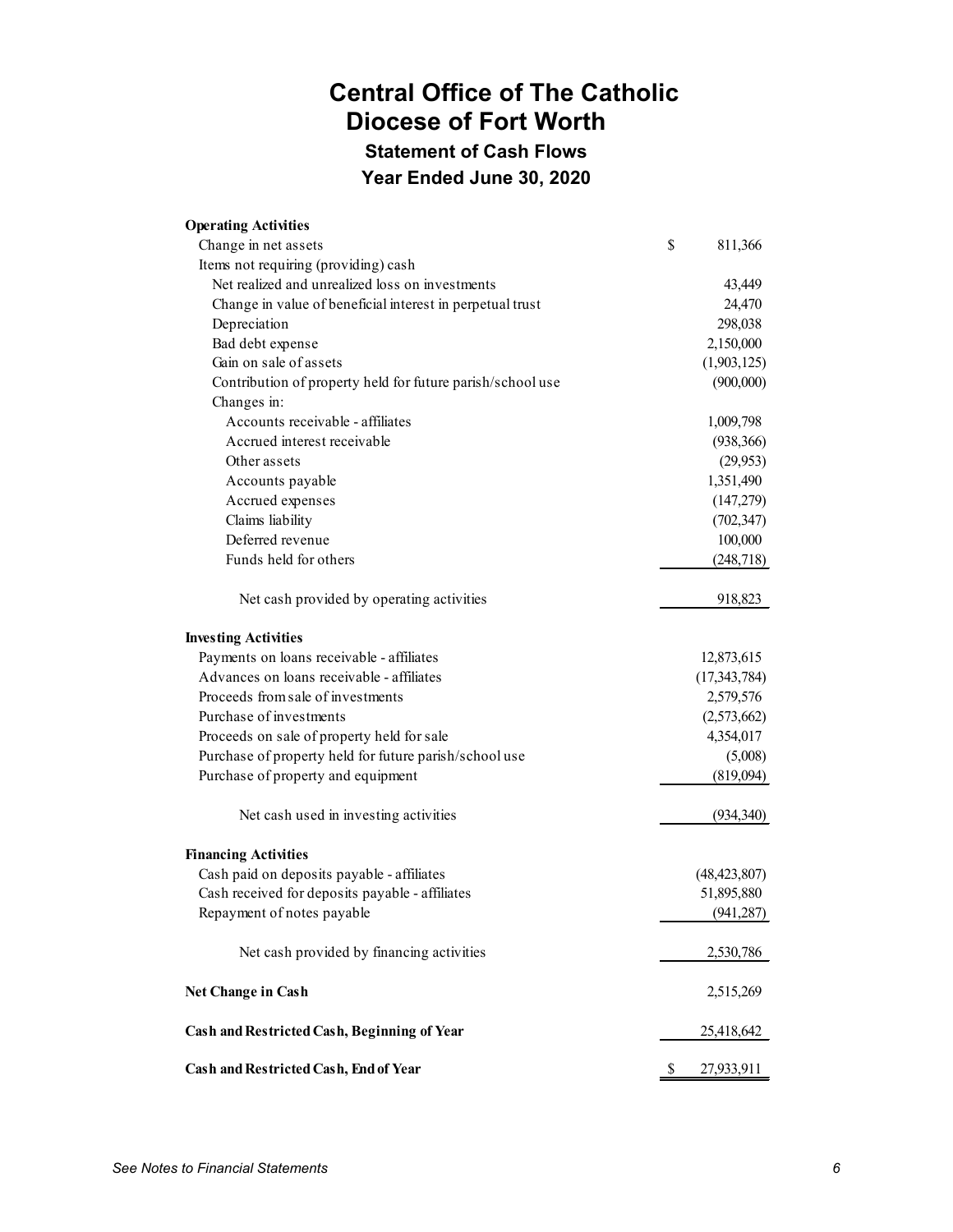**Statement of Cash Flows**

**Year Ended June 30, 2020**

| <b>Operating Activities</b>                                |                  |
|------------------------------------------------------------|------------------|
| Change in net assets                                       | \$<br>811,366    |
| Items not requiring (providing) cash                       |                  |
| Net realized and unrealized loss on investments            | 43,449           |
| Change in value of beneficial interest in perpetual trust  | 24,470           |
| Depreciation                                               | 298,038          |
| Bad debt expense                                           | 2,150,000        |
| Gain on sale of assets                                     | (1,903,125)      |
| Contribution of property held for future parish/school use | (900,000)        |
| Changes in:                                                |                  |
| Accounts receivable - affiliates                           | 1,009,798        |
| Accrued interest receivable                                | (938, 366)       |
| Other assets                                               | (29,953)         |
| Accounts payable                                           | 1,351,490        |
| Accrued expenses                                           | (147,279)        |
| Claims liability                                           | (702, 347)       |
| Deferred revenue                                           | 100,000          |
| Funds held for others                                      | (248, 718)       |
|                                                            |                  |
| Net cash provided by operating activities                  | 918,823          |
| <b>Investing Activities</b>                                |                  |
| Payments on loans receivable - affiliates                  | 12,873,615       |
| Advances on loans receivable - affiliates                  | (17, 343, 784)   |
| Proceeds from sale of investments                          | 2,579,576        |
| Purchase of investments                                    | (2,573,662)      |
| Proceeds on sale of property held for sale                 | 4,354,017        |
| Purchase of property held for future parish/school use     | (5,008)          |
| Purchase of property and equipment                         | (819,094)        |
| Net cash used in investing activities                      | (934, 340)       |
| <b>Financing Activities</b>                                |                  |
| Cash paid on deposits payable - affiliates                 | (48, 423, 807)   |
| Cash received for deposits payable - affiliates            | 51,895,880       |
| Repayment of notes payable                                 | (941, 287)       |
| Net cash provided by financing activities                  | 2,530,786        |
| Net Change in Cash                                         | 2,515,269        |
| Cash and Restricted Cash, Beginning of Year                | 25,418,642       |
| Cash and Restricted Cash, End of Year                      | \$<br>27,933,911 |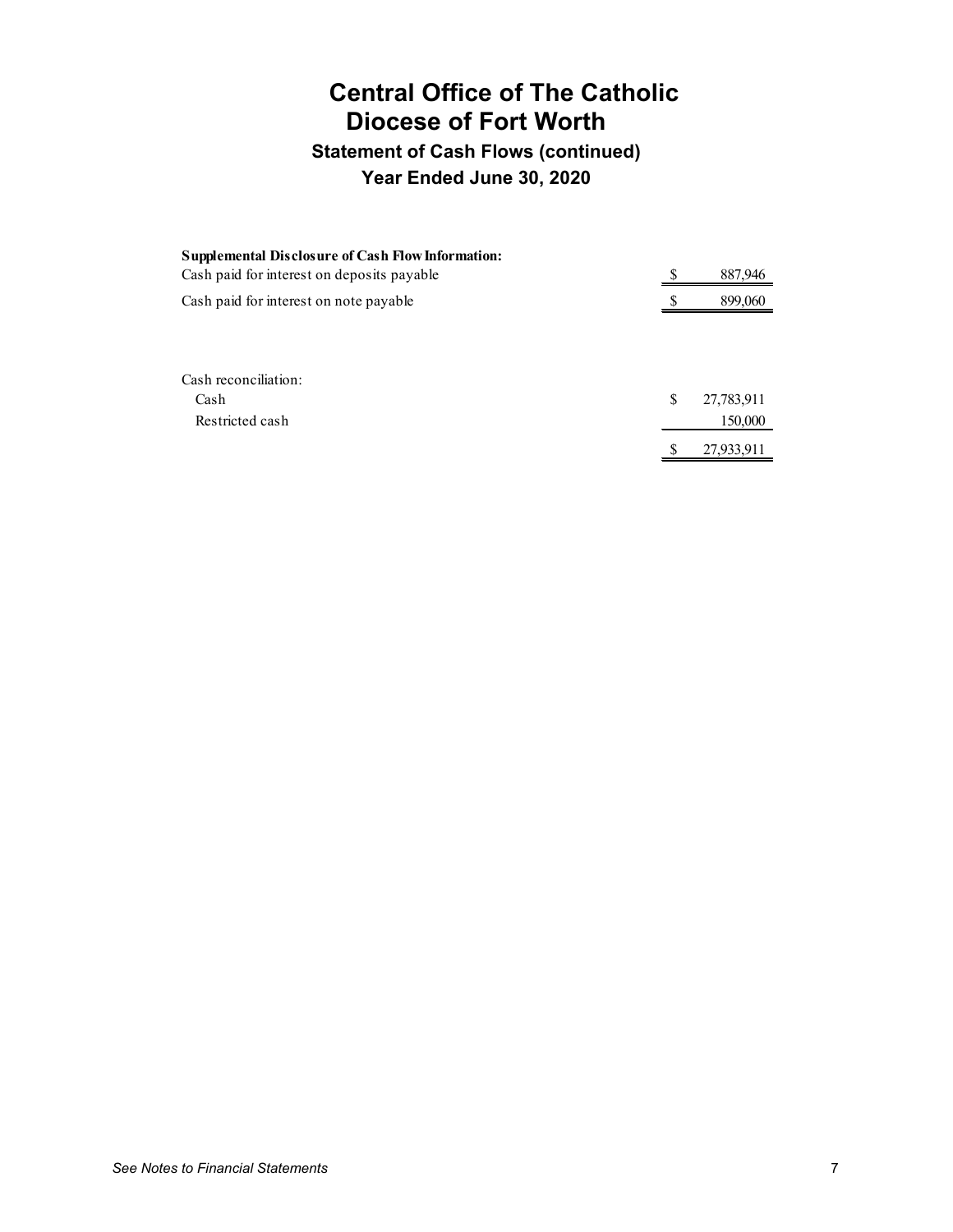## **Statement of Cash Flows (continued) Year Ended June 30, 2020**

| <b>Supplemental Disclosure of Cash Flow Information:</b><br>Cash paid for interest on deposits payable | 887,946          |
|--------------------------------------------------------------------------------------------------------|------------------|
| Cash paid for interest on note payable                                                                 | 899,060          |
|                                                                                                        |                  |
|                                                                                                        |                  |
| Cash reconciliation:                                                                                   |                  |
| Cash                                                                                                   | \$<br>27,783,911 |
| Restricted cash                                                                                        | 150,000          |
|                                                                                                        | 27,933,911       |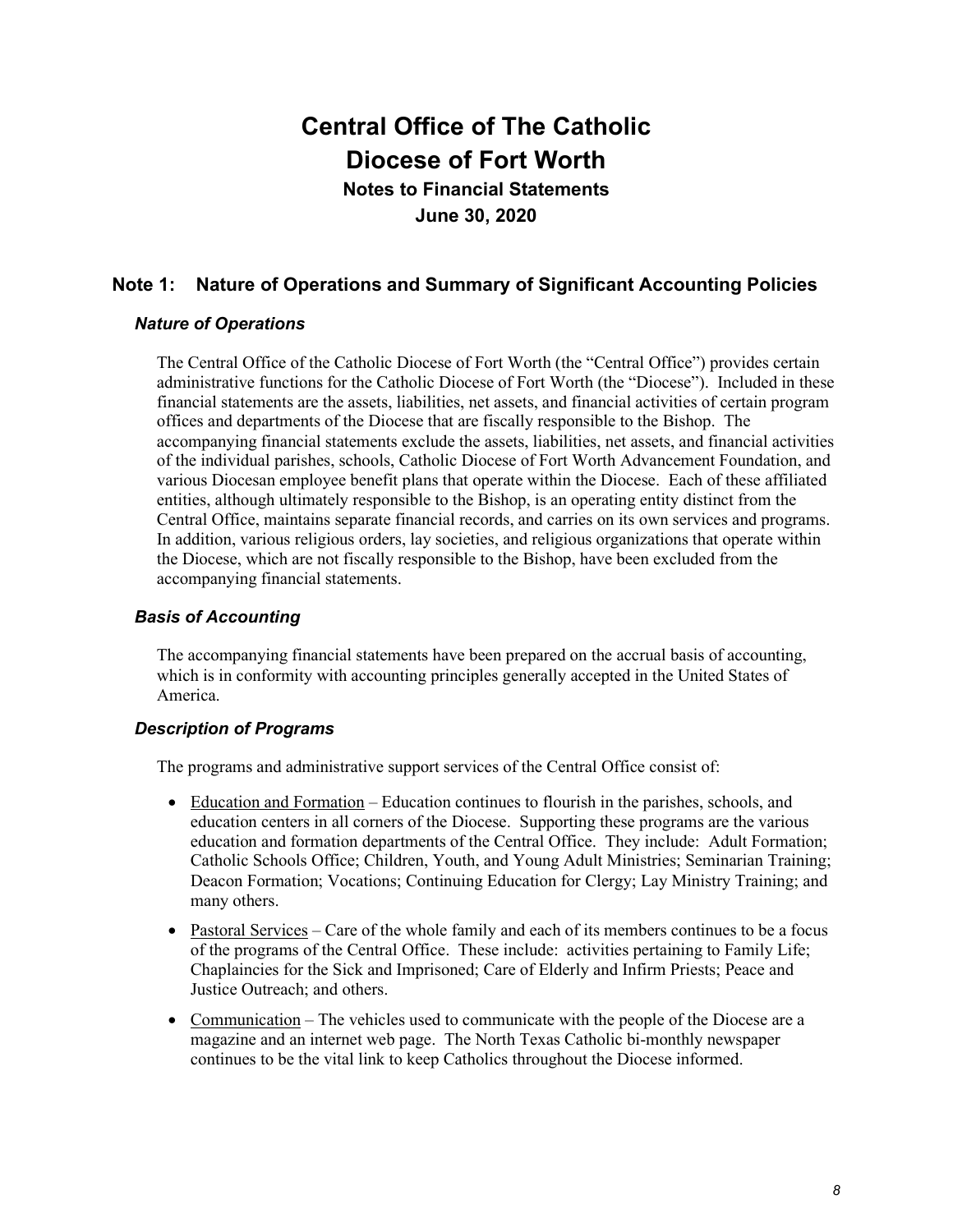**Notes to Financial Statements June 30, 2020**

## **Note 1: Nature of Operations and Summary of Significant Accounting Policies**

## *Nature of Operations*

The Central Office of the Catholic Diocese of Fort Worth (the "Central Office") provides certain administrative functions for the Catholic Diocese of Fort Worth (the "Diocese"). Included in these financial statements are the assets, liabilities, net assets, and financial activities of certain program offices and departments of the Diocese that are fiscally responsible to the Bishop. The accompanying financial statements exclude the assets, liabilities, net assets, and financial activities of the individual parishes, schools, Catholic Diocese of Fort Worth Advancement Foundation, and various Diocesan employee benefit plans that operate within the Diocese. Each of these affiliated entities, although ultimately responsible to the Bishop, is an operating entity distinct from the Central Office, maintains separate financial records, and carries on its own services and programs. In addition, various religious orders, lay societies, and religious organizations that operate within the Diocese, which are not fiscally responsible to the Bishop, have been excluded from the accompanying financial statements.

## *Basis of Accounting*

The accompanying financial statements have been prepared on the accrual basis of accounting, which is in conformity with accounting principles generally accepted in the United States of America.

### *Description of Programs*

The programs and administrative support services of the Central Office consist of:

- Education and Formation Education continues to flourish in the parishes, schools, and education centers in all corners of the Diocese. Supporting these programs are the various education and formation departments of the Central Office. They include: Adult Formation; Catholic Schools Office; Children, Youth, and Young Adult Ministries; Seminarian Training; Deacon Formation; Vocations; Continuing Education for Clergy; Lay Ministry Training; and many others.
- Pastoral Services Care of the whole family and each of its members continues to be a focus of the programs of the Central Office. These include: activities pertaining to Family Life; Chaplaincies for the Sick and Imprisoned; Care of Elderly and Infirm Priests; Peace and Justice Outreach; and others.
- Communication The vehicles used to communicate with the people of the Diocese are a magazine and an internet web page. The North Texas Catholic bi-monthly newspaper continues to be the vital link to keep Catholics throughout the Diocese informed.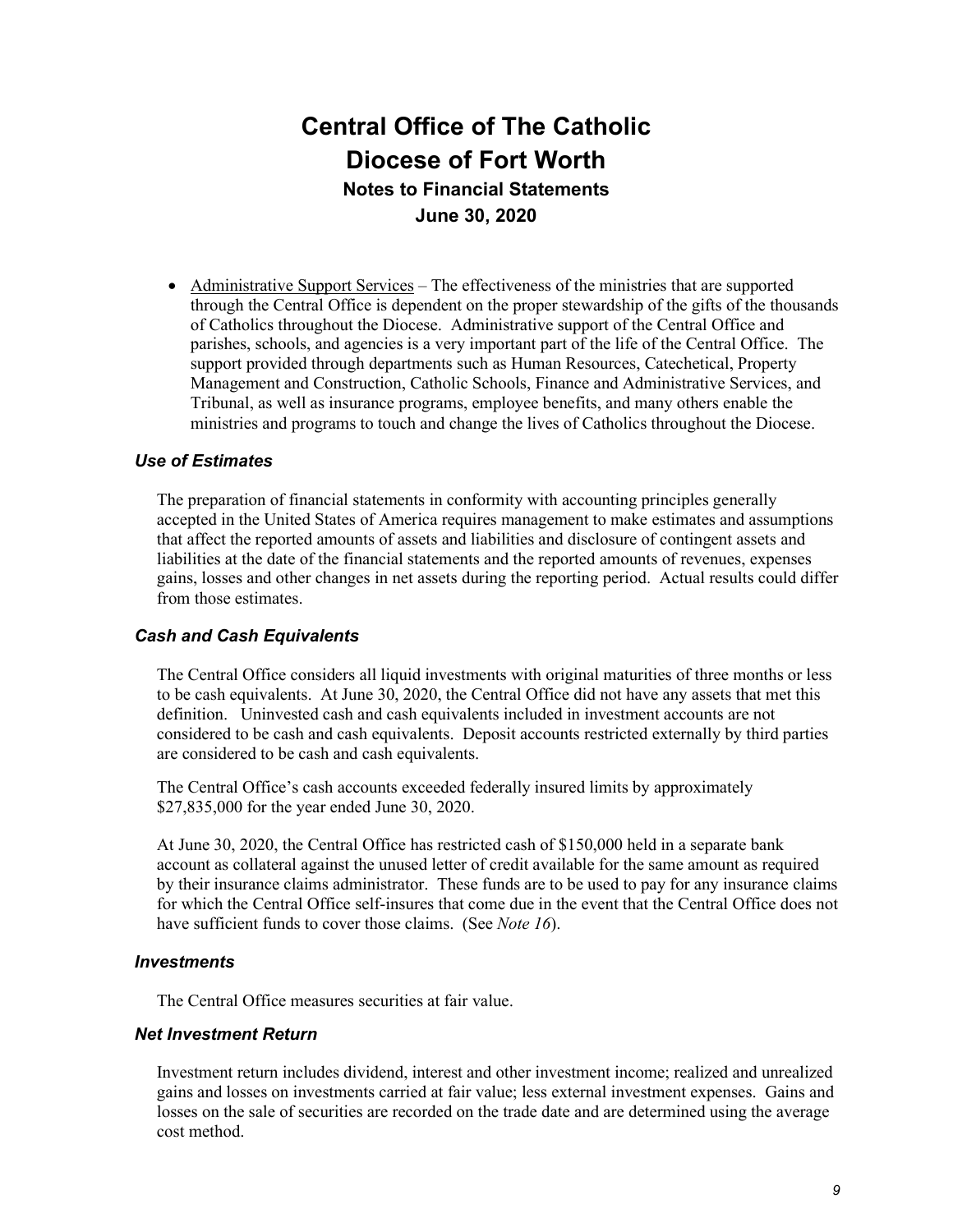• Administrative Support Services – The effectiveness of the ministries that are supported through the Central Office is dependent on the proper stewardship of the gifts of the thousands of Catholics throughout the Diocese. Administrative support of the Central Office and parishes, schools, and agencies is a very important part of the life of the Central Office. The support provided through departments such as Human Resources, Catechetical, Property Management and Construction, Catholic Schools, Finance and Administrative Services, and Tribunal, as well as insurance programs, employee benefits, and many others enable the ministries and programs to touch and change the lives of Catholics throughout the Diocese.

### *Use of Estimates*

The preparation of financial statements in conformity with accounting principles generally accepted in the United States of America requires management to make estimates and assumptions that affect the reported amounts of assets and liabilities and disclosure of contingent assets and liabilities at the date of the financial statements and the reported amounts of revenues, expenses gains, losses and other changes in net assets during the reporting period. Actual results could differ from those estimates.

### *Cash and Cash Equivalents*

The Central Office considers all liquid investments with original maturities of three months or less to be cash equivalents. At June 30, 2020, the Central Office did not have any assets that met this definition. Uninvested cash and cash equivalents included in investment accounts are not considered to be cash and cash equivalents. Deposit accounts restricted externally by third parties are considered to be cash and cash equivalents.

The Central Office's cash accounts exceeded federally insured limits by approximately \$27,835,000 for the year ended June 30, 2020.

At June 30, 2020, the Central Office has restricted cash of \$150,000 held in a separate bank account as collateral against the unused letter of credit available for the same amount as required by their insurance claims administrator. These funds are to be used to pay for any insurance claims for which the Central Office self-insures that come due in the event that the Central Office does not have sufficient funds to cover those claims. (See *Note 16*).

#### *Investments*

The Central Office measures securities at fair value.

#### *Net Investment Return*

Investment return includes dividend, interest and other investment income; realized and unrealized gains and losses on investments carried at fair value; less external investment expenses. Gains and losses on the sale of securities are recorded on the trade date and are determined using the average cost method.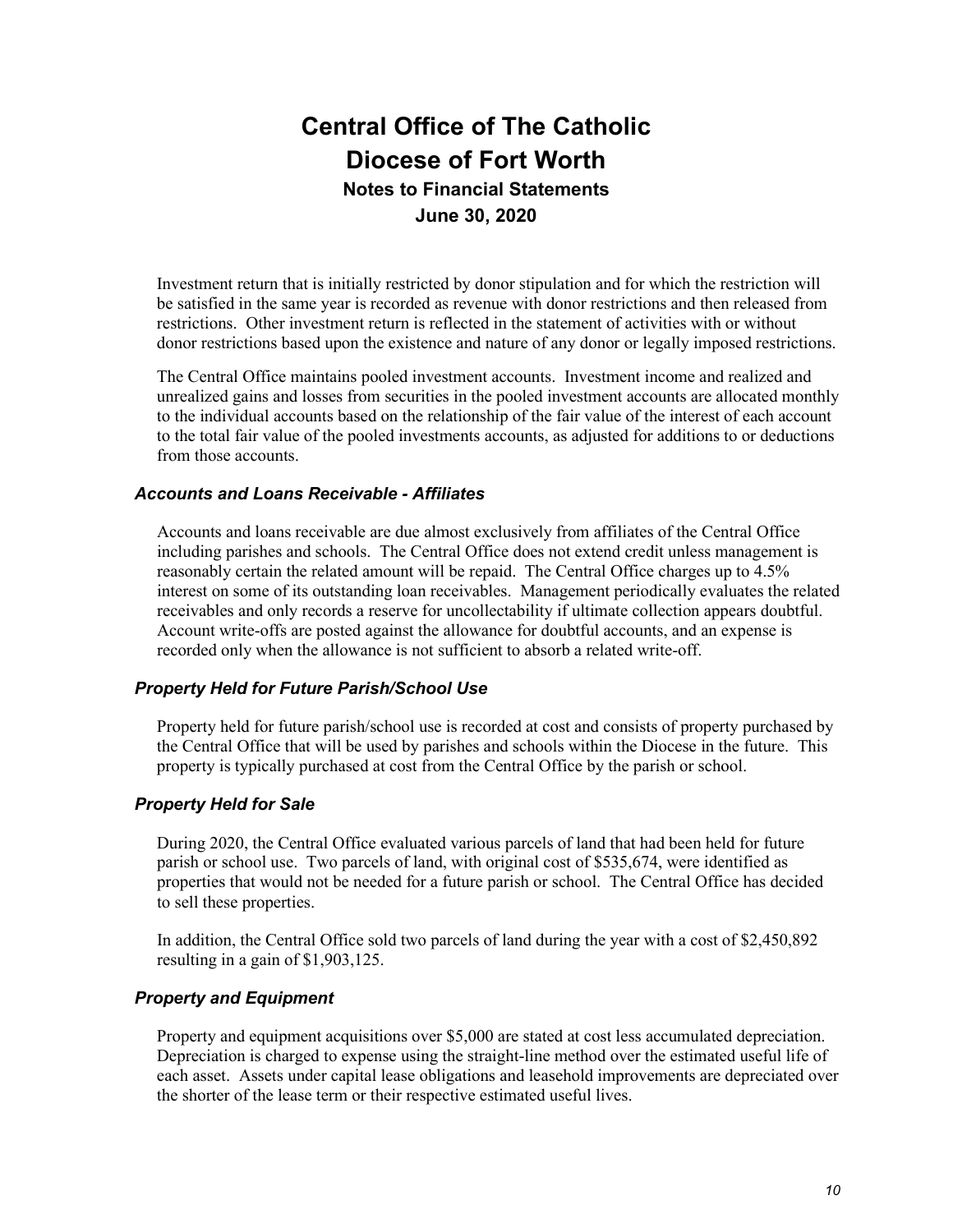Investment return that is initially restricted by donor stipulation and for which the restriction will be satisfied in the same year is recorded as revenue with donor restrictions and then released from restrictions. Other investment return is reflected in the statement of activities with or without donor restrictions based upon the existence and nature of any donor or legally imposed restrictions.

The Central Office maintains pooled investment accounts. Investment income and realized and unrealized gains and losses from securities in the pooled investment accounts are allocated monthly to the individual accounts based on the relationship of the fair value of the interest of each account to the total fair value of the pooled investments accounts, as adjusted for additions to or deductions from those accounts.

### *Accounts and Loans Receivable - Affiliates*

Accounts and loans receivable are due almost exclusively from affiliates of the Central Office including parishes and schools. The Central Office does not extend credit unless management is reasonably certain the related amount will be repaid. The Central Office charges up to 4.5% interest on some of its outstanding loan receivables. Management periodically evaluates the related receivables and only records a reserve for uncollectability if ultimate collection appears doubtful. Account write-offs are posted against the allowance for doubtful accounts, and an expense is recorded only when the allowance is not sufficient to absorb a related write-off.

### *Property Held for Future Parish/School Use*

Property held for future parish/school use is recorded at cost and consists of property purchased by the Central Office that will be used by parishes and schools within the Diocese in the future. This property is typically purchased at cost from the Central Office by the parish or school.

### *Property Held for Sale*

During 2020, the Central Office evaluated various parcels of land that had been held for future parish or school use. Two parcels of land, with original cost of \$535,674, were identified as properties that would not be needed for a future parish or school. The Central Office has decided to sell these properties.

In addition, the Central Office sold two parcels of land during the year with a cost of \$2,450,892 resulting in a gain of \$1,903,125.

#### *Property and Equipment*

Property and equipment acquisitions over \$5,000 are stated at cost less accumulated depreciation. Depreciation is charged to expense using the straight-line method over the estimated useful life of each asset. Assets under capital lease obligations and leasehold improvements are depreciated over the shorter of the lease term or their respective estimated useful lives.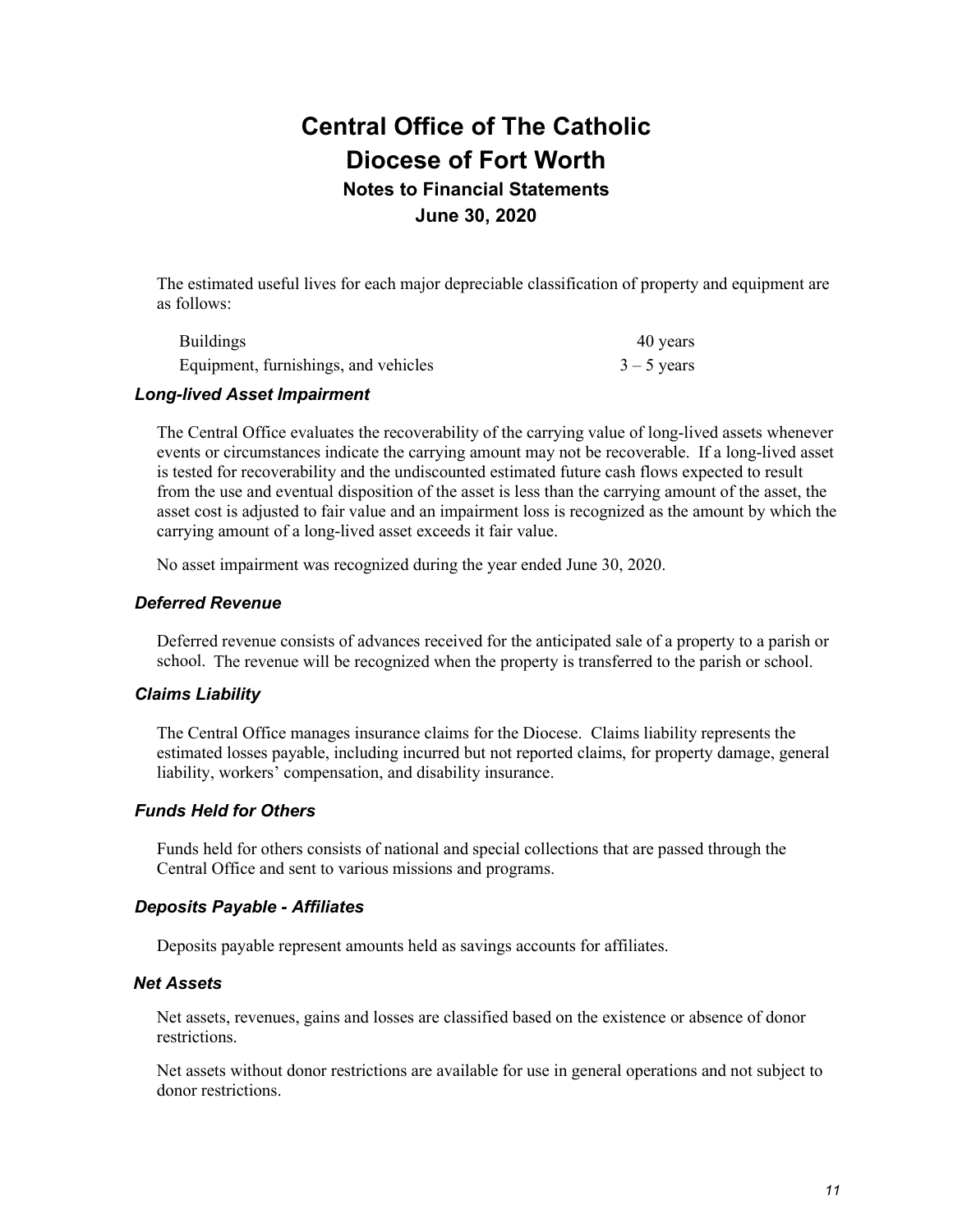## **June 30, 2020**

The estimated useful lives for each major depreciable classification of property and equipment are as follows:

| <b>Buildings</b>                     | 40 years      |
|--------------------------------------|---------------|
| Equipment, furnishings, and vehicles | $3 - 5$ years |

### *Long-lived Asset Impairment*

The Central Office evaluates the recoverability of the carrying value of long-lived assets whenever events or circumstances indicate the carrying amount may not be recoverable. If a long-lived asset is tested for recoverability and the undiscounted estimated future cash flows expected to result from the use and eventual disposition of the asset is less than the carrying amount of the asset, the asset cost is adjusted to fair value and an impairment loss is recognized as the amount by which the carrying amount of a long-lived asset exceeds it fair value.

No asset impairment was recognized during the year ended June 30, 2020.

### *Deferred Revenue*

Deferred revenue consists of advances received for the anticipated sale of a property to a parish or school. The revenue will be recognized when the property is transferred to the parish or school.

#### *Claims Liability*

The Central Office manages insurance claims for the Diocese. Claims liability represents the estimated losses payable, including incurred but not reported claims, for property damage, general liability, workers' compensation, and disability insurance.

#### *Funds Held for Others*

Funds held for others consists of national and special collections that are passed through the Central Office and sent to various missions and programs.

#### *Deposits Payable - Affiliates*

Deposits payable represent amounts held as savings accounts for affiliates.

#### *Net Assets*

Net assets, revenues, gains and losses are classified based on the existence or absence of donor restrictions.

Net assets without donor restrictions are available for use in general operations and not subject to donor restrictions.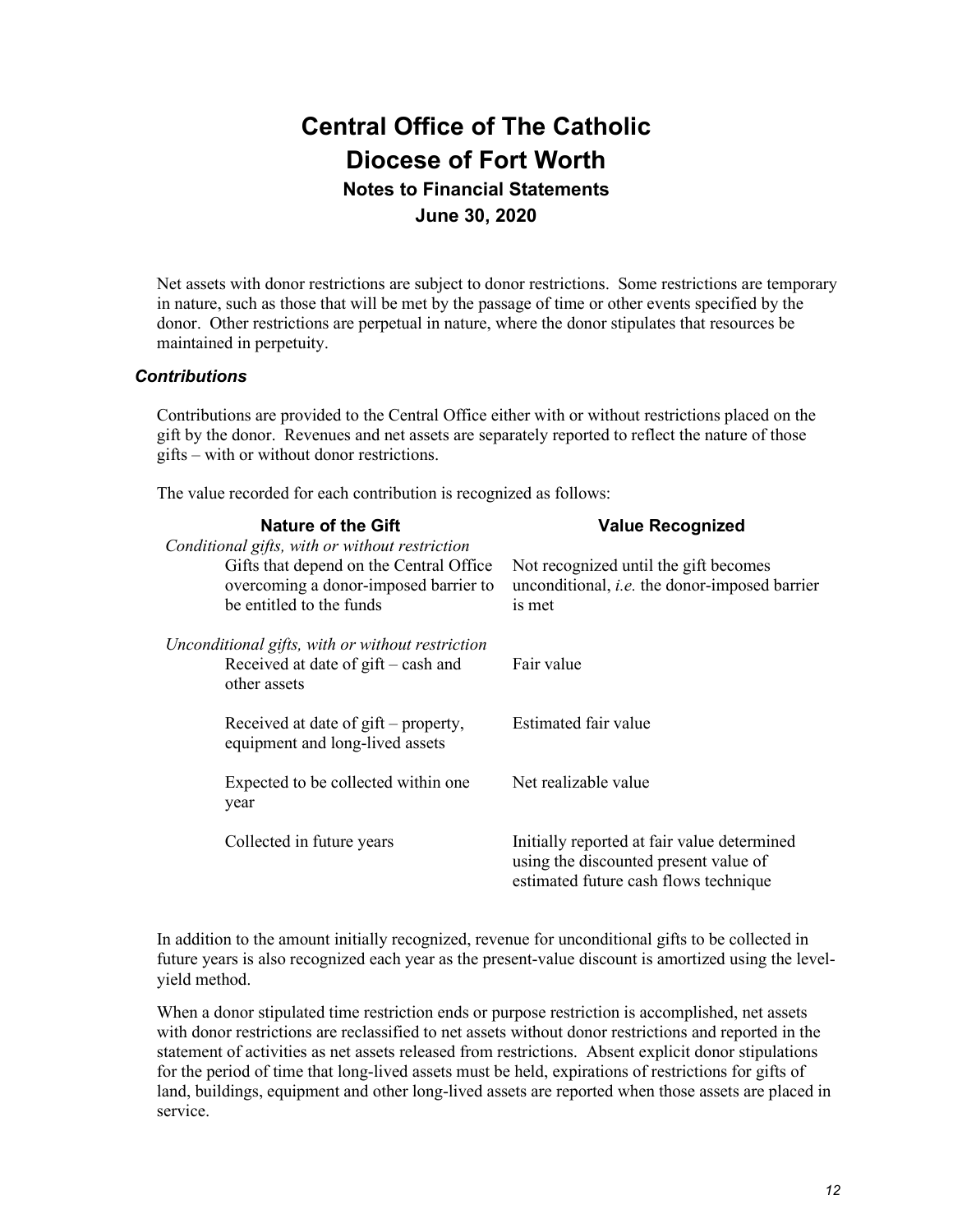Net assets with donor restrictions are subject to donor restrictions. Some restrictions are temporary in nature, such as those that will be met by the passage of time or other events specified by the donor. Other restrictions are perpetual in nature, where the donor stipulates that resources be maintained in perpetuity.

### *Contributions*

Contributions are provided to the Central Office either with or without restrictions placed on the gift by the donor. Revenues and net assets are separately reported to reflect the nature of those gifts – with or without donor restrictions.

The value recorded for each contribution is recognized as follows:

| Nature of the Gift                                                                                                                                             | <b>Value Recognized</b>                                                                                                       |
|----------------------------------------------------------------------------------------------------------------------------------------------------------------|-------------------------------------------------------------------------------------------------------------------------------|
| Conditional gifts, with or without restriction<br>Gifts that depend on the Central Office<br>overcoming a donor-imposed barrier to<br>be entitled to the funds | Not recognized until the gift becomes<br>unconditional, <i>i.e.</i> the donor-imposed barrier<br>is met                       |
| Unconditional gifts, with or without restriction<br>Received at date of $g$ ift – cash and<br>other assets                                                     | Fair value                                                                                                                    |
| Received at date of gift – property,<br>equipment and long-lived assets                                                                                        | Estimated fair value                                                                                                          |
| Expected to be collected within one<br>year                                                                                                                    | Net realizable value                                                                                                          |
| Collected in future years                                                                                                                                      | Initially reported at fair value determined<br>using the discounted present value of<br>estimated future cash flows technique |

In addition to the amount initially recognized, revenue for unconditional gifts to be collected in future years is also recognized each year as the present-value discount is amortized using the levelyield method.

When a donor stipulated time restriction ends or purpose restriction is accomplished, net assets with donor restrictions are reclassified to net assets without donor restrictions and reported in the statement of activities as net assets released from restrictions. Absent explicit donor stipulations for the period of time that long-lived assets must be held, expirations of restrictions for gifts of land, buildings, equipment and other long-lived assets are reported when those assets are placed in service.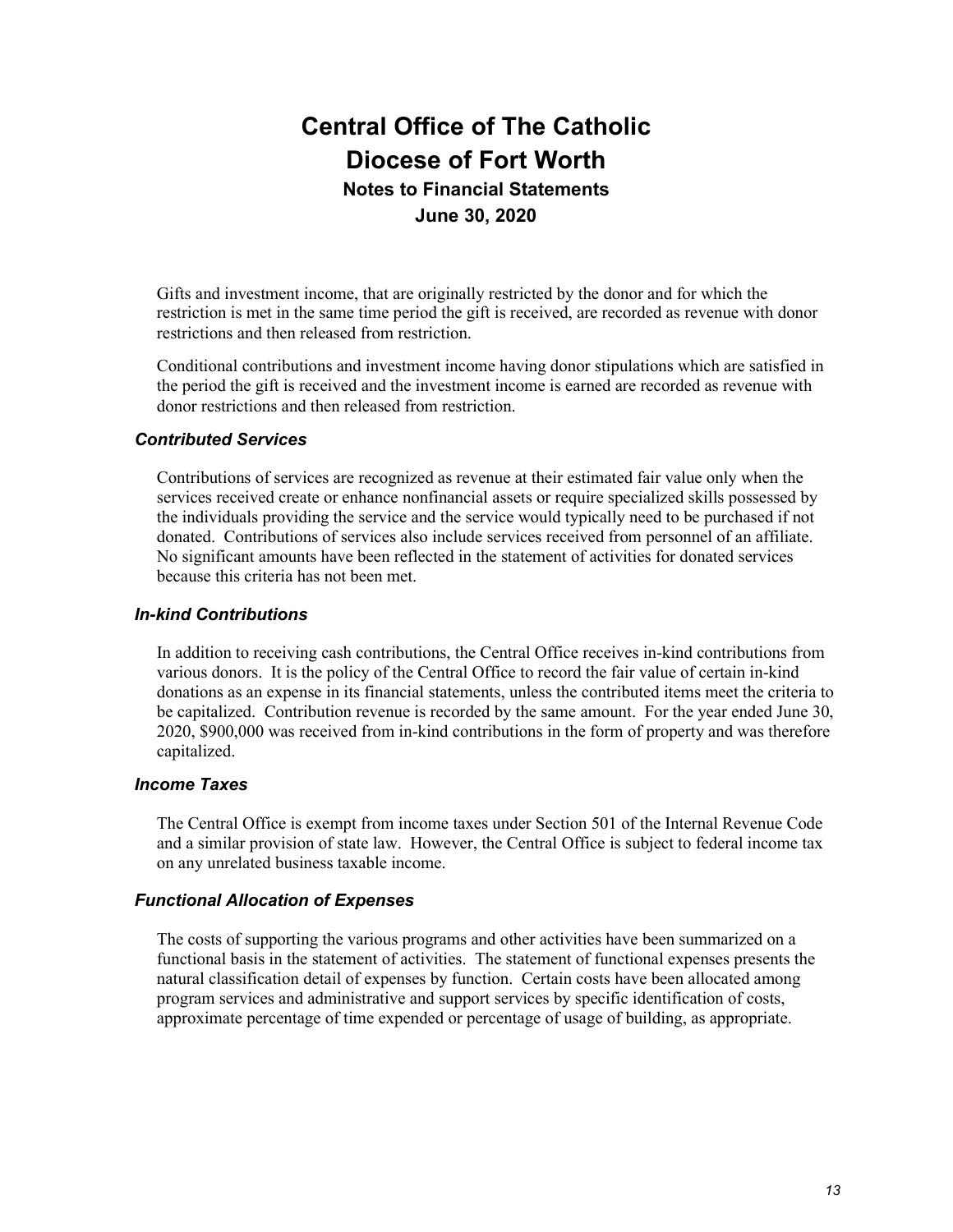Gifts and investment income, that are originally restricted by the donor and for which the restriction is met in the same time period the gift is received, are recorded as revenue with donor restrictions and then released from restriction.

Conditional contributions and investment income having donor stipulations which are satisfied in the period the gift is received and the investment income is earned are recorded as revenue with donor restrictions and then released from restriction.

### *Contributed Services*

Contributions of services are recognized as revenue at their estimated fair value only when the services received create or enhance nonfinancial assets or require specialized skills possessed by the individuals providing the service and the service would typically need to be purchased if not donated. Contributions of services also include services received from personnel of an affiliate. No significant amounts have been reflected in the statement of activities for donated services because this criteria has not been met.

#### *In-kind Contributions*

In addition to receiving cash contributions, the Central Office receives in-kind contributions from various donors. It is the policy of the Central Office to record the fair value of certain in-kind donations as an expense in its financial statements, unless the contributed items meet the criteria to be capitalized. Contribution revenue is recorded by the same amount. For the year ended June 30, 2020, \$900,000 was received from in-kind contributions in the form of property and was therefore capitalized.

#### *Income Taxes*

The Central Office is exempt from income taxes under Section 501 of the Internal Revenue Code and a similar provision of state law. However, the Central Office is subject to federal income tax on any unrelated business taxable income.

### *Functional Allocation of Expenses*

The costs of supporting the various programs and other activities have been summarized on a functional basis in the statement of activities. The statement of functional expenses presents the natural classification detail of expenses by function. Certain costs have been allocated among program services and administrative and support services by specific identification of costs, approximate percentage of time expended or percentage of usage of building, as appropriate.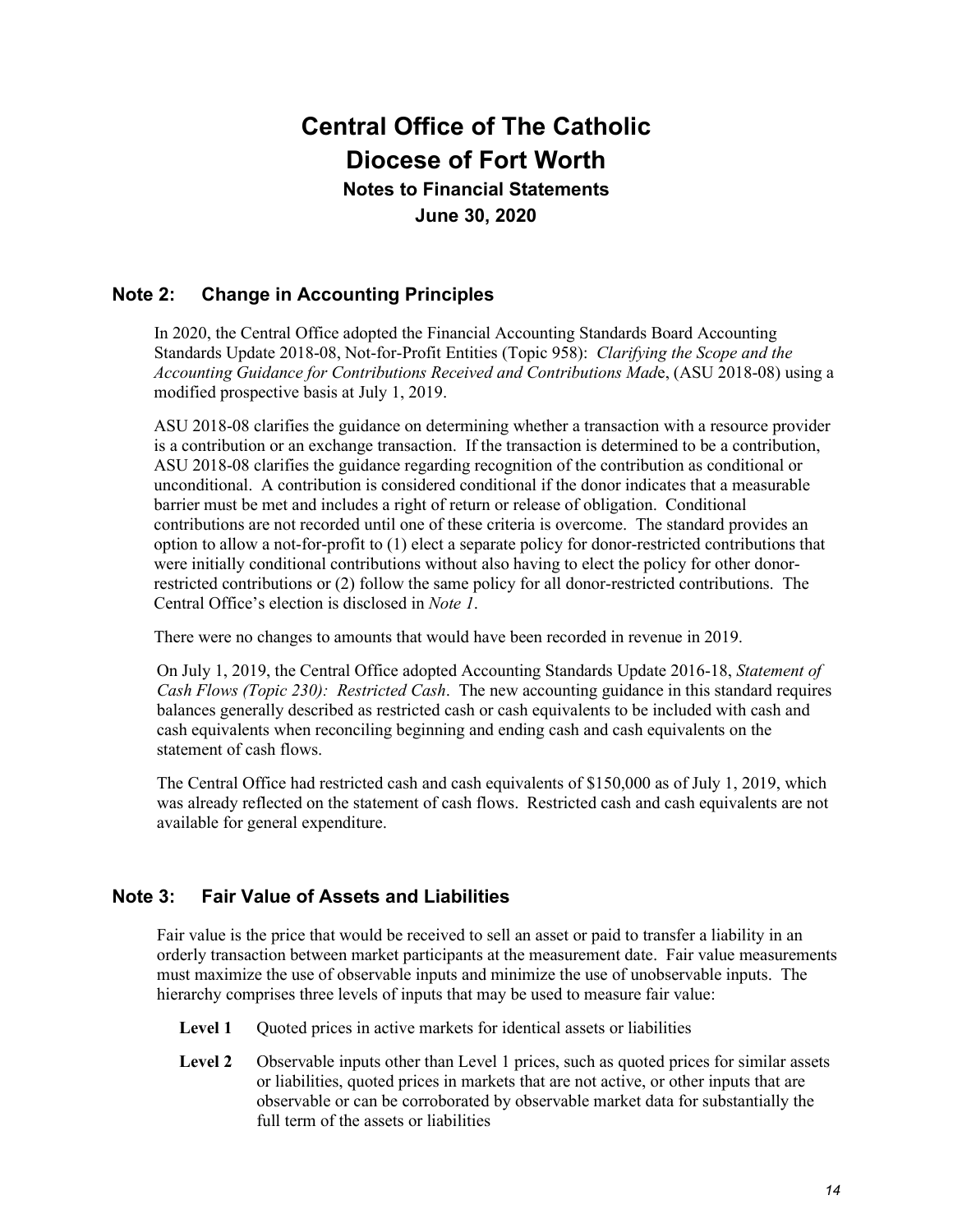**June 30, 2020**

## **Note 2: Change in Accounting Principles**

In 2020, the Central Office adopted the Financial Accounting Standards Board Accounting Standards Update 2018-08, Not-for-Profit Entities (Topic 958): *Clarifying the Scope and the Accounting Guidance for Contributions Received and Contributions Mad*e, (ASU 2018-08) using a modified prospective basis at July 1, 2019.

ASU 2018-08 clarifies the guidance on determining whether a transaction with a resource provider is a contribution or an exchange transaction. If the transaction is determined to be a contribution, ASU 2018-08 clarifies the guidance regarding recognition of the contribution as conditional or unconditional. A contribution is considered conditional if the donor indicates that a measurable barrier must be met and includes a right of return or release of obligation. Conditional contributions are not recorded until one of these criteria is overcome. The standard provides an option to allow a not-for-profit to (1) elect a separate policy for donor-restricted contributions that were initially conditional contributions without also having to elect the policy for other donorrestricted contributions or (2) follow the same policy for all donor-restricted contributions. The Central Office's election is disclosed in *Note 1*.

There were no changes to amounts that would have been recorded in revenue in 2019.

On July 1, 2019, the Central Office adopted Accounting Standards Update 2016-18, *Statement of Cash Flows (Topic 230): Restricted Cash*. The new accounting guidance in this standard requires balances generally described as restricted cash or cash equivalents to be included with cash and cash equivalents when reconciling beginning and ending cash and cash equivalents on the statement of cash flows.

The Central Office had restricted cash and cash equivalents of \$150,000 as of July 1, 2019, which was already reflected on the statement of cash flows. Restricted cash and cash equivalents are not available for general expenditure.

## **Note 3: Fair Value of Assets and Liabilities**

Fair value is the price that would be received to sell an asset or paid to transfer a liability in an orderly transaction between market participants at the measurement date. Fair value measurements must maximize the use of observable inputs and minimize the use of unobservable inputs. The hierarchy comprises three levels of inputs that may be used to measure fair value:

- Level 1 Quoted prices in active markets for identical assets or liabilities
- Level 2 Observable inputs other than Level 1 prices, such as quoted prices for similar assets or liabilities, quoted prices in markets that are not active, or other inputs that are observable or can be corroborated by observable market data for substantially the full term of the assets or liabilities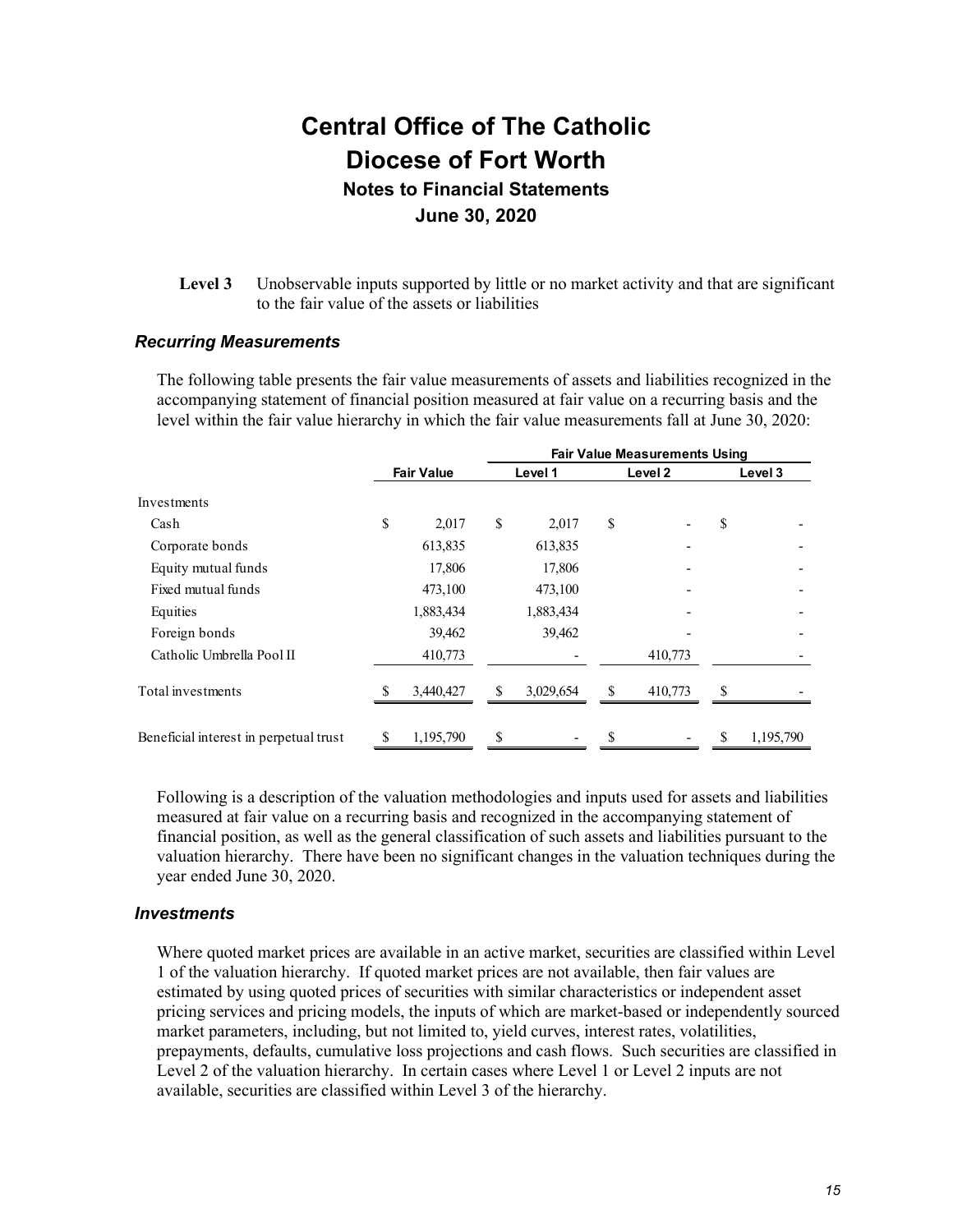**Level 3** Unobservable inputs supported by little or no market activity and that are significant to the fair value of the assets or liabilities

#### *Recurring Measurements*

The following table presents the fair value measurements of assets and liabilities recognized in the accompanying statement of financial position measured at fair value on a recurring basis and the level within the fair value hierarchy in which the fair value measurements fall at June 30, 2020:

|                                        |                   |           | <b>Fair Value Measurements Using</b> |           |    |         |    |           |  |  |
|----------------------------------------|-------------------|-----------|--------------------------------------|-----------|----|---------|----|-----------|--|--|
|                                        | <b>Fair Value</b> |           |                                      | Level 1   |    | Level 2 |    | Level 3   |  |  |
| Investments                            |                   |           |                                      |           |    |         |    |           |  |  |
| Cash                                   | \$                | 2,017     | \$                                   | 2,017     | \$ |         | \$ |           |  |  |
| Corporate bonds                        |                   | 613,835   |                                      | 613,835   |    |         |    |           |  |  |
| Equity mutual funds                    |                   | 17,806    |                                      | 17,806    |    |         |    |           |  |  |
| Fixed mutual funds                     |                   | 473,100   |                                      | 473,100   |    |         |    |           |  |  |
| Equities                               |                   | 1,883,434 |                                      | 1,883,434 |    |         |    |           |  |  |
| Foreign bonds                          |                   | 39,462    |                                      | 39,462    |    |         |    |           |  |  |
| Catholic Umbrella Pool II              |                   | 410,773   |                                      |           |    | 410,773 |    |           |  |  |
| Total investments                      |                   | 3,440,427 | \$                                   | 3,029,654 | \$ | 410,773 | S  |           |  |  |
| Beneficial interest in perpetual trust | S                 | 1,195,790 | \$                                   |           | \$ |         | S  | 1,195,790 |  |  |

Following is a description of the valuation methodologies and inputs used for assets and liabilities measured at fair value on a recurring basis and recognized in the accompanying statement of financial position, as well as the general classification of such assets and liabilities pursuant to the valuation hierarchy. There have been no significant changes in the valuation techniques during the year ended June 30, 2020.

#### *Investments*

Where quoted market prices are available in an active market, securities are classified within Level 1 of the valuation hierarchy. If quoted market prices are not available, then fair values are estimated by using quoted prices of securities with similar characteristics or independent asset pricing services and pricing models, the inputs of which are market-based or independently sourced market parameters, including, but not limited to, yield curves, interest rates, volatilities, prepayments, defaults, cumulative loss projections and cash flows. Such securities are classified in Level 2 of the valuation hierarchy. In certain cases where Level 1 or Level 2 inputs are not available, securities are classified within Level 3 of the hierarchy.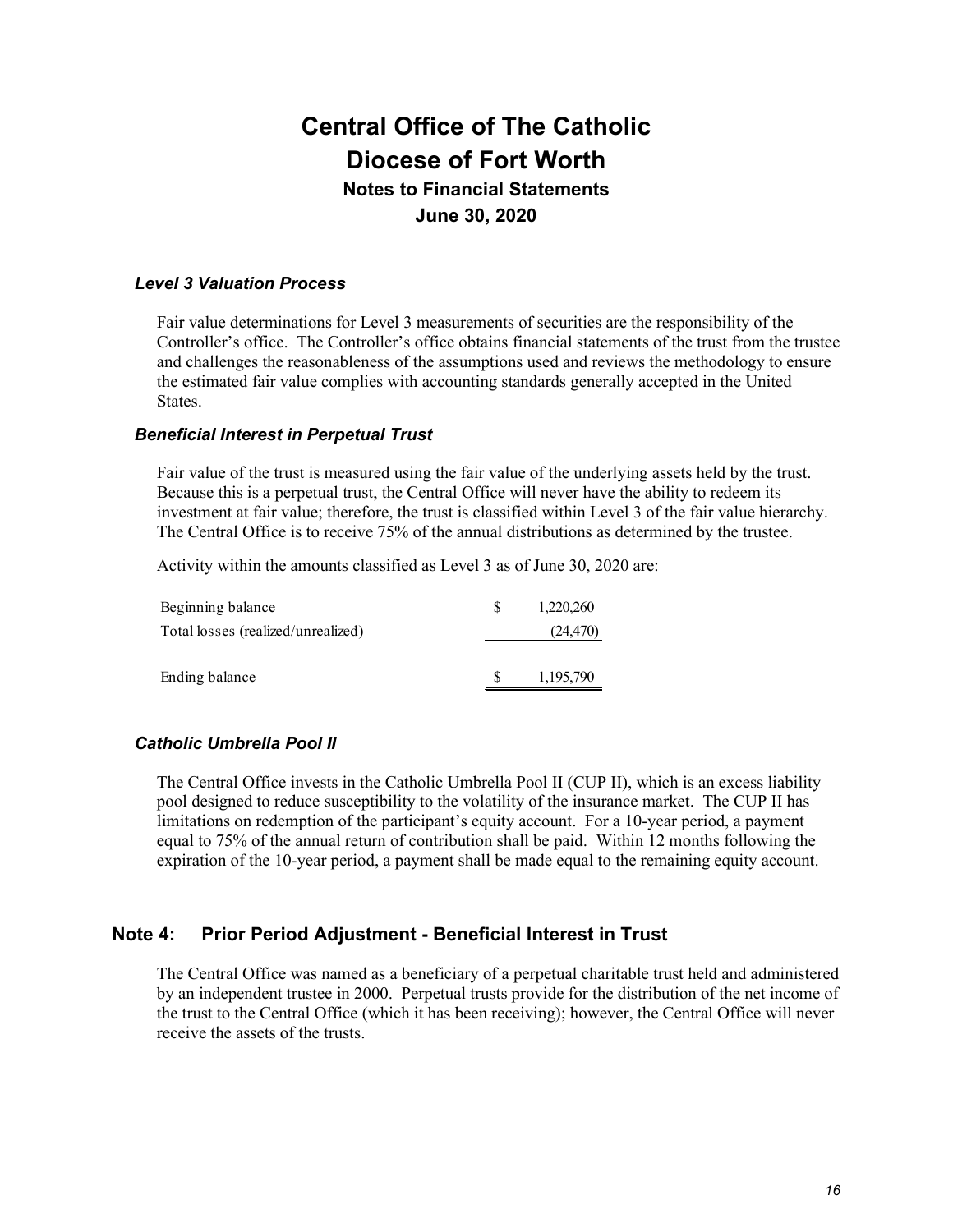#### *Level 3 Valuation Process*

Fair value determinations for Level 3 measurements of securities are the responsibility of the Controller's office. The Controller's office obtains financial statements of the trust from the trustee and challenges the reasonableness of the assumptions used and reviews the methodology to ensure the estimated fair value complies with accounting standards generally accepted in the United States.

#### *Beneficial Interest in Perpetual Trust*

Fair value of the trust is measured using the fair value of the underlying assets held by the trust. Because this is a perpetual trust, the Central Office will never have the ability to redeem its investment at fair value; therefore, the trust is classified within Level 3 of the fair value hierarchy. The Central Office is to receive 75% of the annual distributions as determined by the trustee.

Activity within the amounts classified as Level 3 as of June 30, 2020 are:

| Beginning balance                  | 1,220,260 |
|------------------------------------|-----------|
| Total losses (realized/unrealized) | (24, 470) |
|                                    |           |
| Ending balance                     | 1,195,790 |
|                                    |           |

#### *Catholic Umbrella Pool II*

The Central Office invests in the Catholic Umbrella Pool II (CUP II), which is an excess liability pool designed to reduce susceptibility to the volatility of the insurance market. The CUP II has limitations on redemption of the participant's equity account. For a 10-year period, a payment equal to 75% of the annual return of contribution shall be paid. Within 12 months following the expiration of the 10-year period, a payment shall be made equal to the remaining equity account.

#### **Note 4: Prior Period Adjustment - Beneficial Interest in Trust**

The Central Office was named as a beneficiary of a perpetual charitable trust held and administered by an independent trustee in 2000. Perpetual trusts provide for the distribution of the net income of the trust to the Central Office (which it has been receiving); however, the Central Office will never receive the assets of the trusts.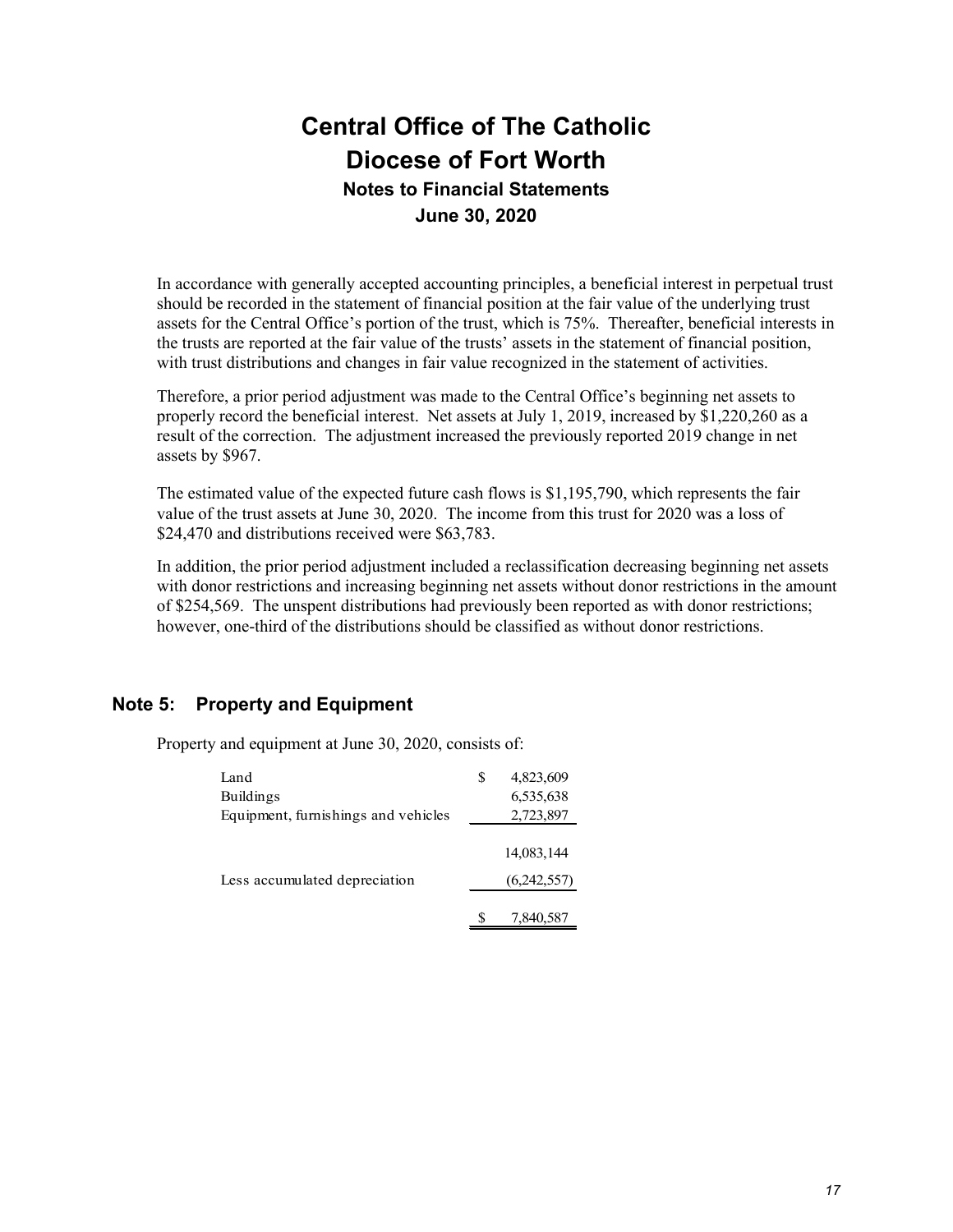In accordance with generally accepted accounting principles, a beneficial interest in perpetual trust should be recorded in the statement of financial position at the fair value of the underlying trust assets for the Central Office's portion of the trust, which is 75%. Thereafter, beneficial interests in the trusts are reported at the fair value of the trusts' assets in the statement of financial position, with trust distributions and changes in fair value recognized in the statement of activities.

Therefore, a prior period adjustment was made to the Central Office's beginning net assets to properly record the beneficial interest. Net assets at July 1, 2019, increased by \$1,220,260 as a result of the correction. The adjustment increased the previously reported 2019 change in net assets by \$967.

The estimated value of the expected future cash flows is \$1,195,790, which represents the fair value of the trust assets at June 30, 2020. The income from this trust for 2020 was a loss of \$24,470 and distributions received were \$63,783.

In addition, the prior period adjustment included a reclassification decreasing beginning net assets with donor restrictions and increasing beginning net assets without donor restrictions in the amount of \$254,569. The unspent distributions had previously been reported as with donor restrictions; however, one-third of the distributions should be classified as without donor restrictions.

## **Note 5: Property and Equipment**

Property and equipment at June 30, 2020, consists of:

| Land                                | S | 4,823,609   |
|-------------------------------------|---|-------------|
| Buildings                           |   | 6,535,638   |
| Equipment, furnishings and vehicles |   | 2,723,897   |
|                                     |   |             |
|                                     |   | 14,083,144  |
| Less accumulated depreciation       |   | (6,242,557) |
|                                     |   |             |
|                                     |   | 7,840,587   |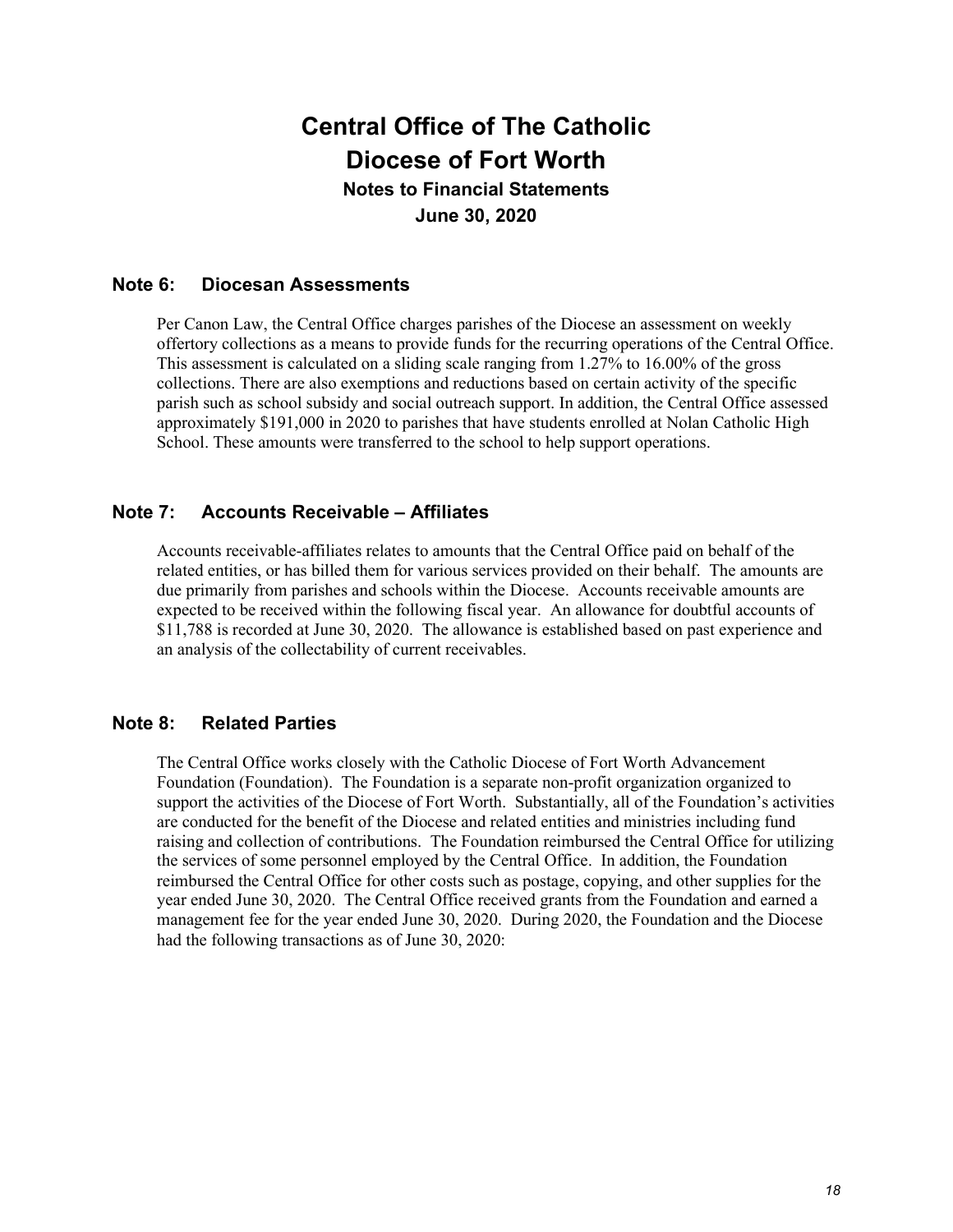## **Note 6: Diocesan Assessments**

Per Canon Law, the Central Office charges parishes of the Diocese an assessment on weekly offertory collections as a means to provide funds for the recurring operations of the Central Office. This assessment is calculated on a sliding scale ranging from 1.27% to 16.00% of the gross collections. There are also exemptions and reductions based on certain activity of the specific parish such as school subsidy and social outreach support. In addition, the Central Office assessed approximately \$191,000 in 2020 to parishes that have students enrolled at Nolan Catholic High School. These amounts were transferred to the school to help support operations.

## **Note 7: Accounts Receivable – Affiliates**

Accounts receivable-affiliates relates to amounts that the Central Office paid on behalf of the related entities, or has billed them for various services provided on their behalf. The amounts are due primarily from parishes and schools within the Diocese. Accounts receivable amounts are expected to be received within the following fiscal year. An allowance for doubtful accounts of \$11,788 is recorded at June 30, 2020. The allowance is established based on past experience and an analysis of the collectability of current receivables.

## **Note 8: Related Parties**

The Central Office works closely with the Catholic Diocese of Fort Worth Advancement Foundation (Foundation). The Foundation is a separate non-profit organization organized to support the activities of the Diocese of Fort Worth. Substantially, all of the Foundation's activities are conducted for the benefit of the Diocese and related entities and ministries including fund raising and collection of contributions. The Foundation reimbursed the Central Office for utilizing the services of some personnel employed by the Central Office. In addition, the Foundation reimbursed the Central Office for other costs such as postage, copying, and other supplies for the year ended June 30, 2020. The Central Office received grants from the Foundation and earned a management fee for the year ended June 30, 2020. During 2020, the Foundation and the Diocese had the following transactions as of June 30, 2020: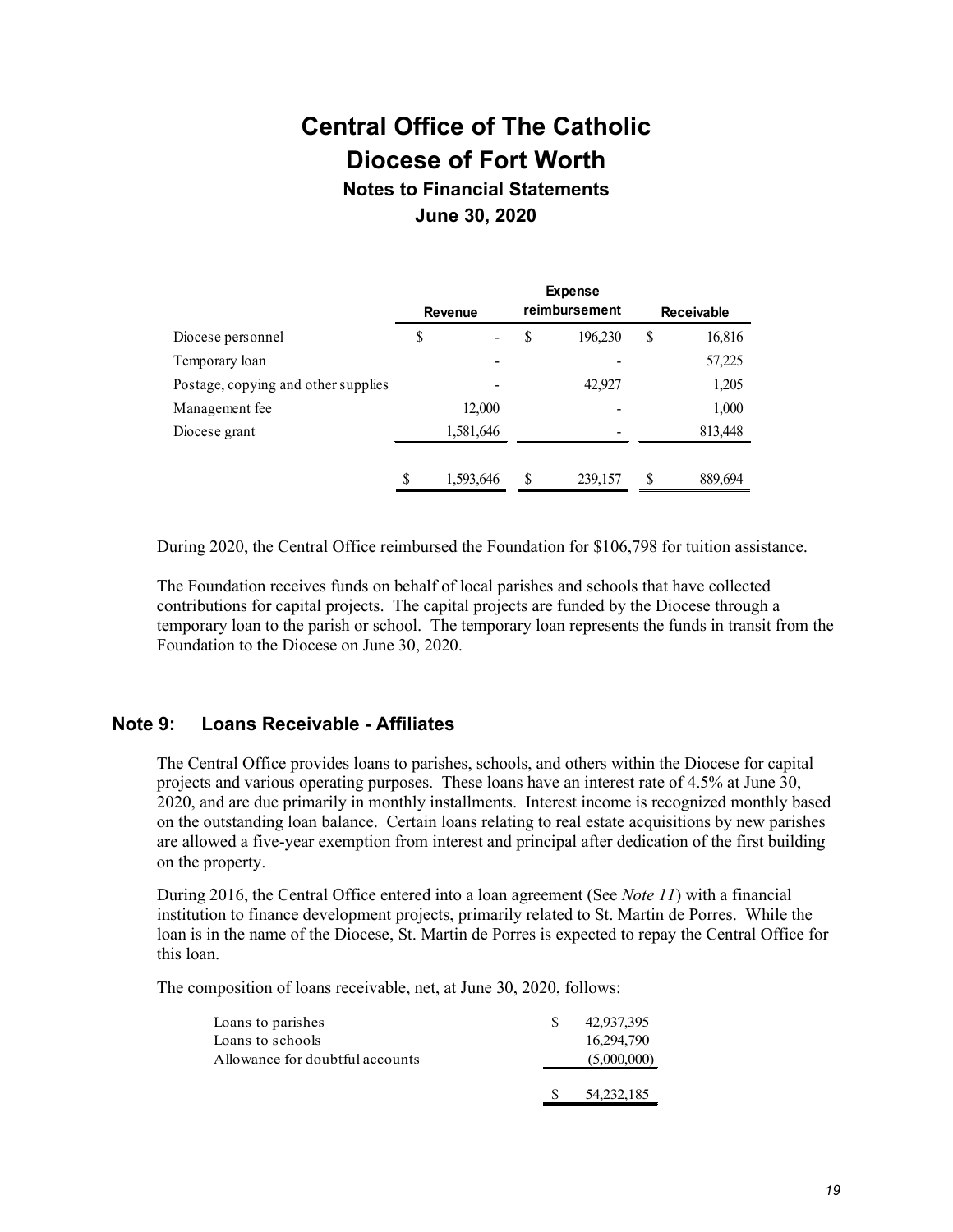**Notes to Financial Statements June 30, 2020**

|                                     |    | <b>Revenue</b> |   | <b>Expense</b><br>reimbursement | <b>Receivable</b> |         |  |  |
|-------------------------------------|----|----------------|---|---------------------------------|-------------------|---------|--|--|
| Diocese personnel                   | S  |                | S | 196,230                         | \$                | 16,816  |  |  |
| Temporary loan                      |    |                |   |                                 |                   | 57,225  |  |  |
| Postage, copying and other supplies |    |                |   | 42,927                          |                   | 1,205   |  |  |
| Management fee                      |    | 12,000         |   |                                 |                   | 1,000   |  |  |
| Diocese grant                       |    | 1,581,646      |   |                                 |                   | 813,448 |  |  |
|                                     | \$ | 1,593,646      | S | 239,157                         | S                 | 889,694 |  |  |

During 2020, the Central Office reimbursed the Foundation for \$106,798 for tuition assistance.

The Foundation receives funds on behalf of local parishes and schools that have collected contributions for capital projects. The capital projects are funded by the Diocese through a temporary loan to the parish or school. The temporary loan represents the funds in transit from the Foundation to the Diocese on June 30, 2020.

### **Note 9: Loans Receivable - Affiliates**

The Central Office provides loans to parishes, schools, and others within the Diocese for capital projects and various operating purposes. These loans have an interest rate of 4.5% at June 30, 2020, and are due primarily in monthly installments. Interest income is recognized monthly based on the outstanding loan balance. Certain loans relating to real estate acquisitions by new parishes are allowed a five-year exemption from interest and principal after dedication of the first building on the property.

During 2016, the Central Office entered into a loan agreement (See *Note 11*) with a financial institution to finance development projects, primarily related to St. Martin de Porres. While the loan is in the name of the Diocese, St. Martin de Porres is expected to repay the Central Office for this loan.

The composition of loans receivable, net, at June 30, 2020, follows:

| Loans to parishes               | -SS | 42,937,395   |
|---------------------------------|-----|--------------|
| Loans to schools                |     | 16,294,790   |
| Allowance for doubtful accounts |     | (5,000,000)  |
|                                 |     | 54, 232, 185 |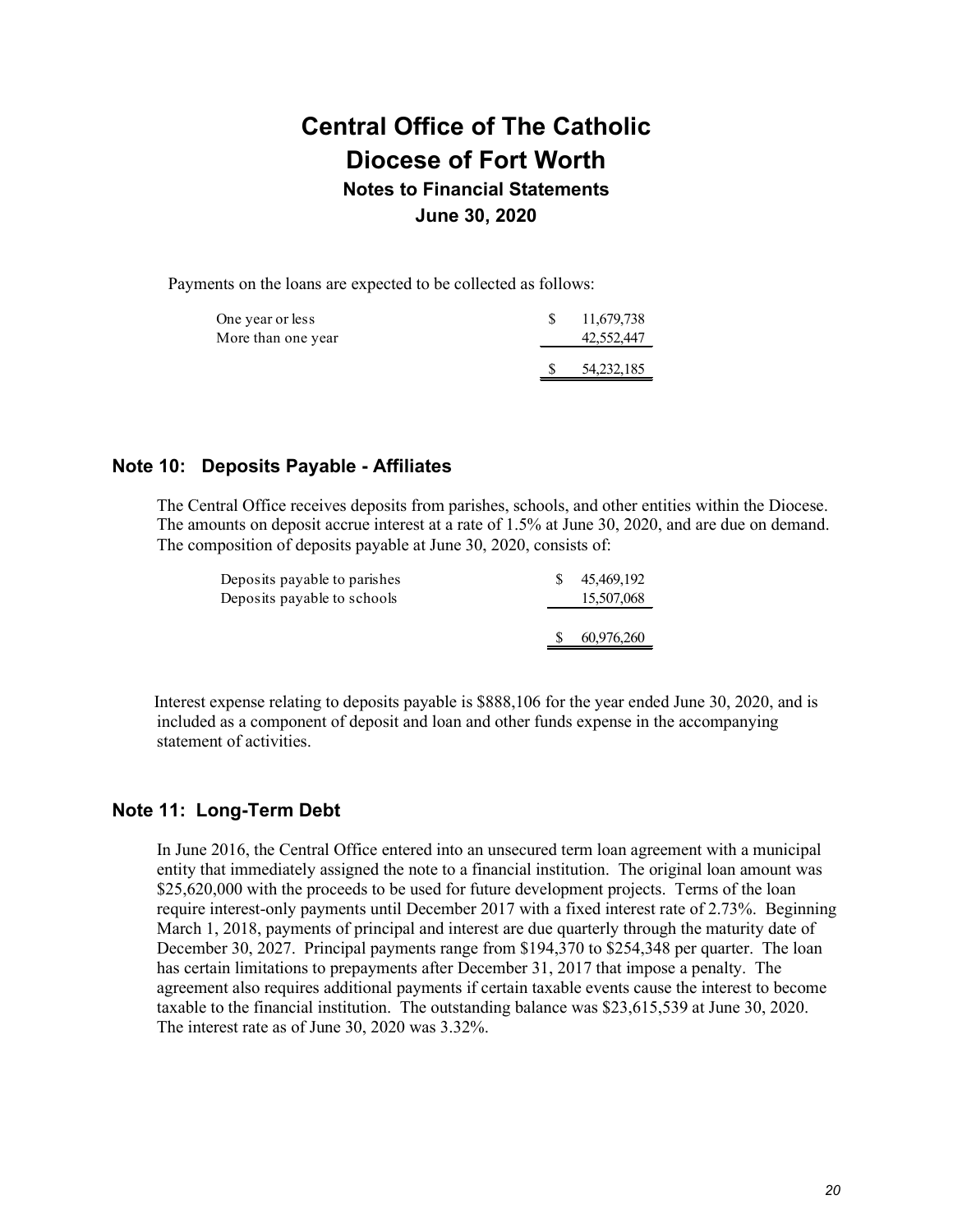Payments on the loans are expected to be collected as follows:

| One year or less<br>More than one year | 11,679,738<br>42,552,447 |
|----------------------------------------|--------------------------|
|                                        | 54, 232, 185             |

### **Note 10: Deposits Payable - Affiliates**

The Central Office receives deposits from parishes, schools, and other entities within the Diocese. The amounts on deposit accrue interest at a rate of 1.5% at June 30, 2020, and are due on demand. The composition of deposits payable at June 30, 2020, consists of:

| Deposits payable to parishes | 45,469,192 |
|------------------------------|------------|
| Deposits payable to schools  | 15,507,068 |
|                              |            |
|                              | 60,976,260 |

Interest expense relating to deposits payable is \$888,106 for the year ended June 30, 2020, and is included as a component of deposit and loan and other funds expense in the accompanying statement of activities.

### **Note 11: Long-Term Debt**

In June 2016, the Central Office entered into an unsecured term loan agreement with a municipal entity that immediately assigned the note to a financial institution. The original loan amount was \$25,620,000 with the proceeds to be used for future development projects. Terms of the loan require interest-only payments until December 2017 with a fixed interest rate of 2.73%. Beginning March 1, 2018, payments of principal and interest are due quarterly through the maturity date of December 30, 2027. Principal payments range from \$194,370 to \$254,348 per quarter. The loan has certain limitations to prepayments after December 31, 2017 that impose a penalty. The agreement also requires additional payments if certain taxable events cause the interest to become taxable to the financial institution. The outstanding balance was \$23,615,539 at June 30, 2020. The interest rate as of June 30, 2020 was 3.32%.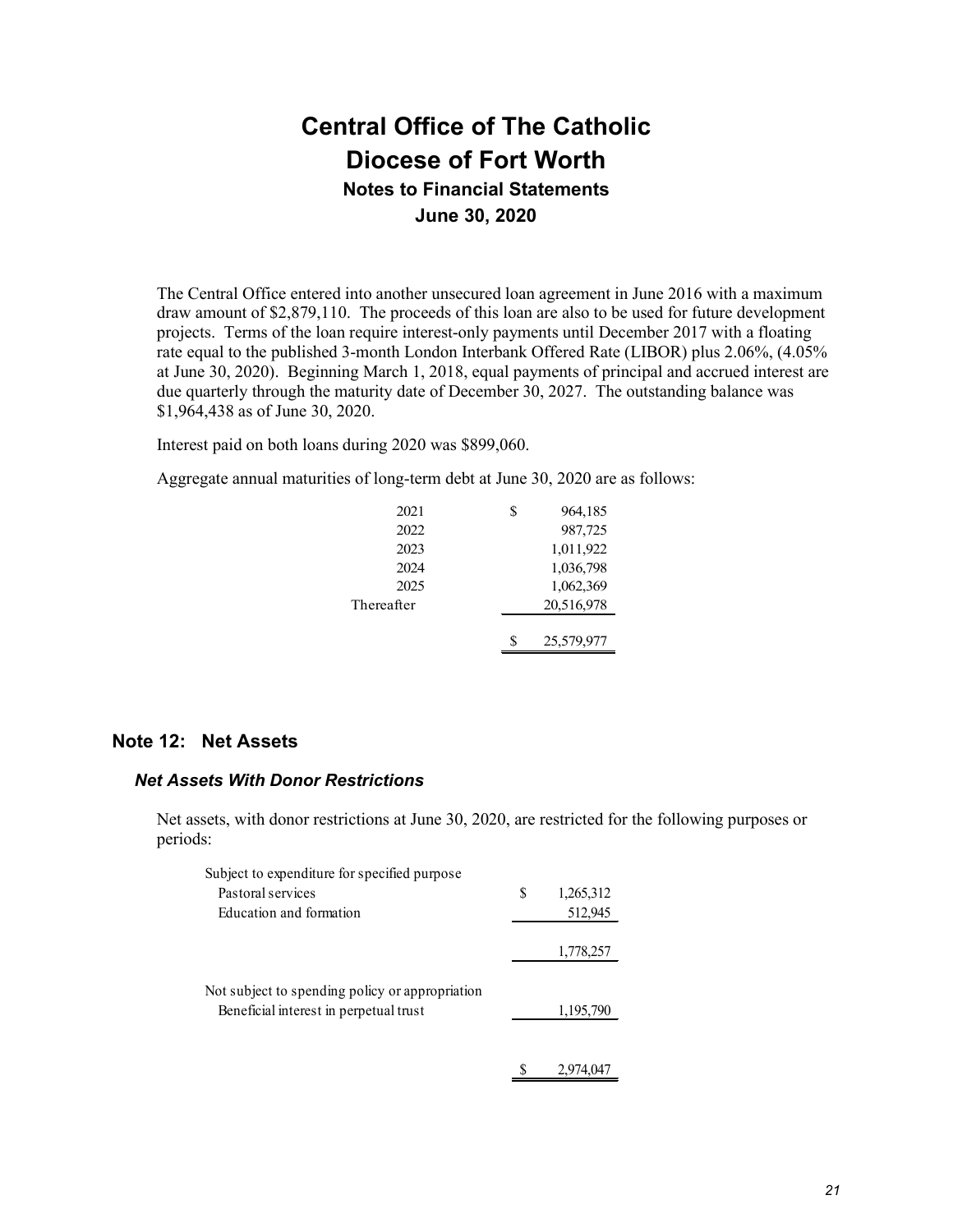The Central Office entered into another unsecured loan agreement in June 2016 with a maximum draw amount of \$2,879,110. The proceeds of this loan are also to be used for future development projects. Terms of the loan require interest-only payments until December 2017 with a floating rate equal to the published 3-month London Interbank Offered Rate (LIBOR) plus 2.06%, (4.05% at June 30, 2020). Beginning March 1, 2018, equal payments of principal and accrued interest are due quarterly through the maturity date of December 30, 2027. The outstanding balance was \$1,964,438 as of June 30, 2020.

Interest paid on both loans during 2020 was \$899,060.

Aggregate annual maturities of long-term debt at June 30, 2020 are as follows:

| 2021       | S | 964,185    |
|------------|---|------------|
| 2022       |   | 987,725    |
| 2023       |   | 1,011,922  |
| 2024       |   | 1,036,798  |
| 2025       |   | 1,062,369  |
| Thereafter |   | 20,516,978 |
|            |   |            |
|            | S | 25,579,977 |

### **Note 12: Net Assets**

#### *Net Assets With Donor Restrictions*

Net assets, with donor restrictions at June 30, 2020, are restricted for the following purposes or periods:

| Subject to expenditure for specified purpose                                              |   |           |
|-------------------------------------------------------------------------------------------|---|-----------|
| Pastoral services                                                                         | S | 1,265,312 |
| Education and formation                                                                   |   | 512,945   |
|                                                                                           |   | 1,778,257 |
| Not subject to spending policy or appropriation<br>Beneficial interest in perpetual trust |   | 1,195,790 |
|                                                                                           |   | 2.974.047 |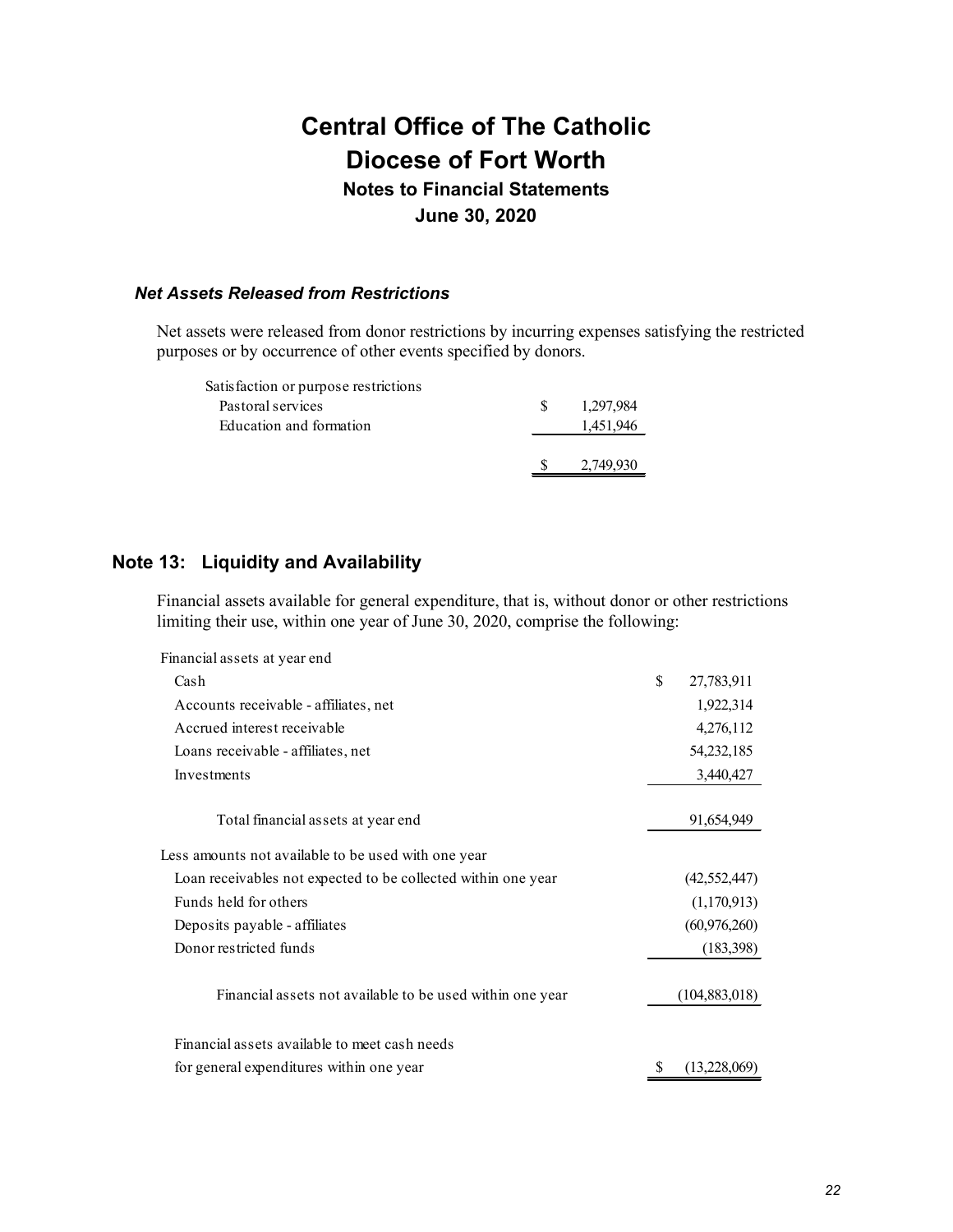## **Notes to Financial Statements June 30, 2020**

#### *Net Assets Released from Restrictions*

Net assets were released from donor restrictions by incurring expenses satisfying the restricted purposes or by occurrence of other events specified by donors.

| Satisfaction or purpose restrictions |     |           |
|--------------------------------------|-----|-----------|
| Pastoral services                    | SS. | 1.297.984 |
| Education and formation              |     | 1,451,946 |
|                                      |     |           |
|                                      |     | 2,749,930 |
|                                      |     |           |

## **Note 13: Liquidity and Availability**

Financial assets available for general expenditure, that is, without donor or other restrictions limiting their use, within one year of June 30, 2020, comprise the following:

| Financial assets at year end                                  |    |                 |
|---------------------------------------------------------------|----|-----------------|
| Cash                                                          | \$ | 27,783,911      |
| Accounts receivable - affiliates, net                         |    | 1,922,314       |
| Accrued interest receivable                                   |    | 4,276,112       |
| Loans receivable - affiliates, net                            |    | 54, 232, 185    |
| Investments                                                   |    | 3,440,427       |
| Total financial assets at year end                            |    | 91,654,949      |
| Less amounts not available to be used with one year           |    |                 |
| Loan receivables not expected to be collected within one year |    | (42, 552, 447)  |
| Funds held for others                                         |    | (1,170,913)     |
| Deposits payable - affiliates                                 |    | (60, 976, 260)  |
| Donor restricted funds                                        |    | (183, 398)      |
| Financial assets not available to be used within one year     |    | (104, 883, 018) |
| Financial assets available to meet cash needs                 |    |                 |
| for general expenditures within one year                      | S  | (13,228,069)    |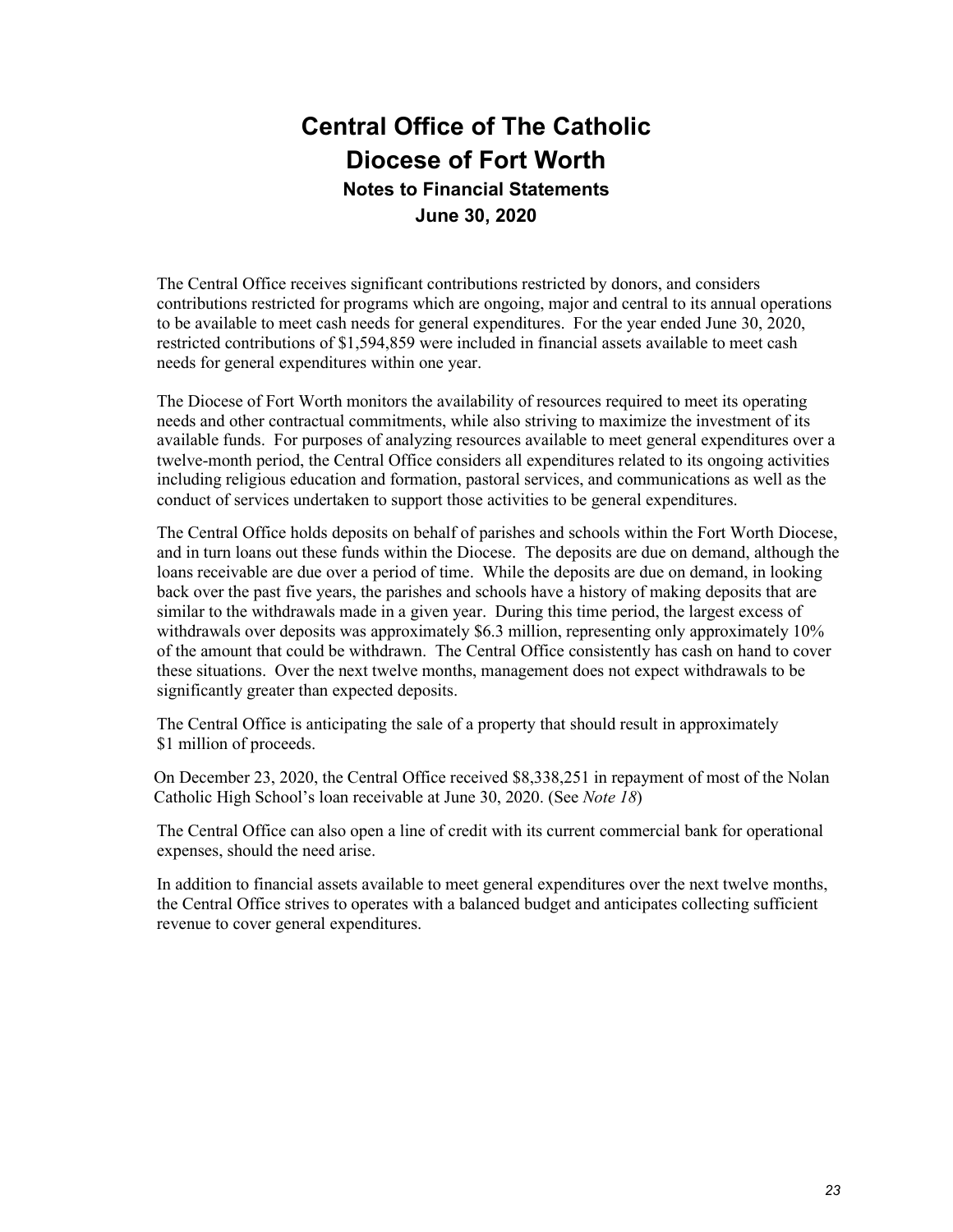The Central Office receives significant contributions restricted by donors, and considers contributions restricted for programs which are ongoing, major and central to its annual operations to be available to meet cash needs for general expenditures. For the year ended June 30, 2020, restricted contributions of \$1,594,859 were included in financial assets available to meet cash needs for general expenditures within one year.

The Diocese of Fort Worth monitors the availability of resources required to meet its operating needs and other contractual commitments, while also striving to maximize the investment of its available funds. For purposes of analyzing resources available to meet general expenditures over a twelve-month period, the Central Office considers all expenditures related to its ongoing activities including religious education and formation, pastoral services, and communications as well as the conduct of services undertaken to support those activities to be general expenditures.

The Central Office holds deposits on behalf of parishes and schools within the Fort Worth Diocese, and in turn loans out these funds within the Diocese. The deposits are due on demand, although the loans receivable are due over a period of time. While the deposits are due on demand, in looking back over the past five years, the parishes and schools have a history of making deposits that are similar to the withdrawals made in a given year. During this time period, the largest excess of withdrawals over deposits was approximately \$6.3 million, representing only approximately 10% of the amount that could be withdrawn. The Central Office consistently has cash on hand to cover these situations. Over the next twelve months, management does not expect withdrawals to be significantly greater than expected deposits.

The Central Office is anticipating the sale of a property that should result in approximately \$1 million of proceeds.

On December 23, 2020, the Central Office received \$8,338,251 in repayment of most of the Nolan Catholic High School's loan receivable at June 30, 2020. (See *Note 18*)

The Central Office can also open a line of credit with its current commercial bank for operational expenses, should the need arise.

In addition to financial assets available to meet general expenditures over the next twelve months, the Central Office strives to operates with a balanced budget and anticipates collecting sufficient revenue to cover general expenditures.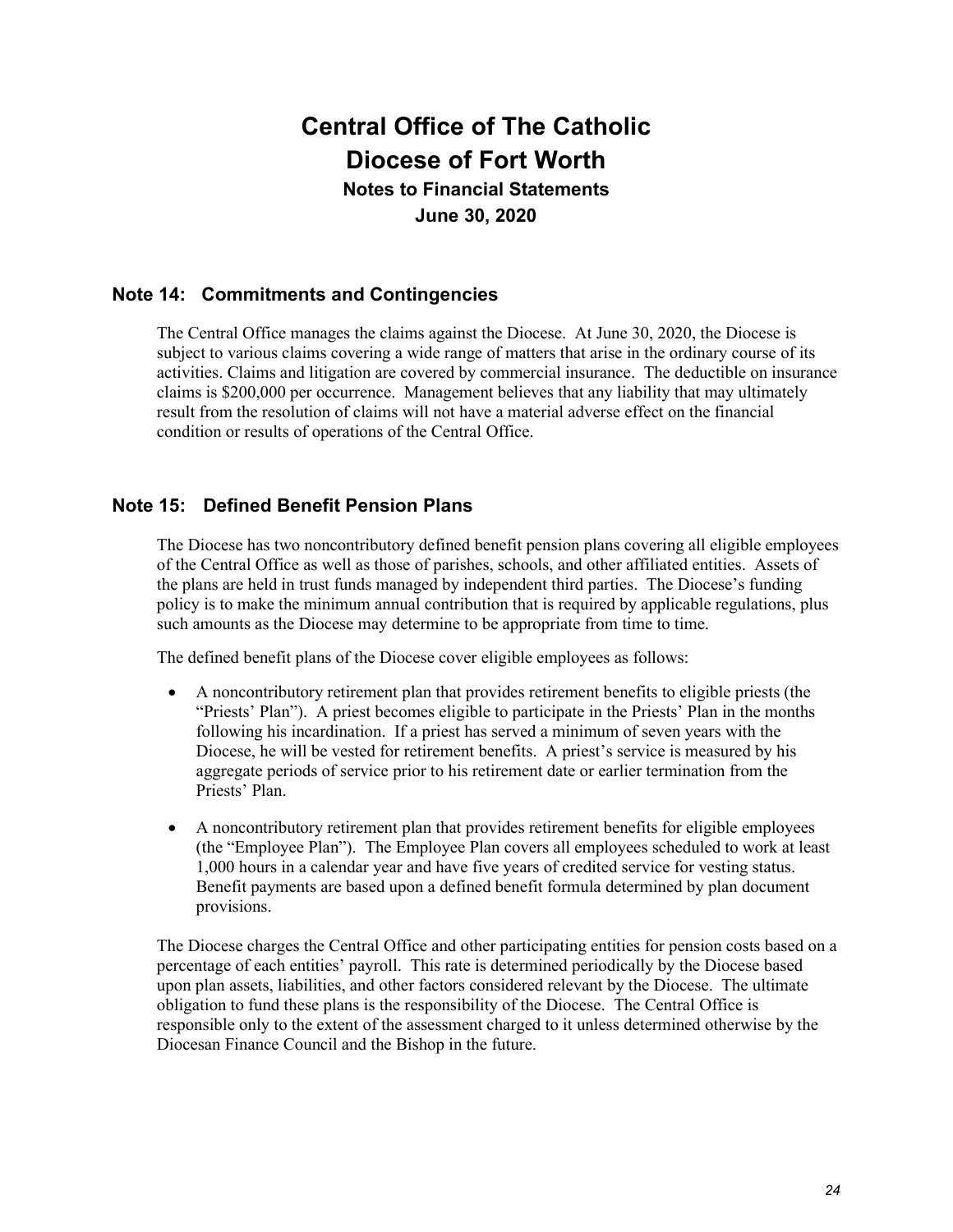## **Notes to Financial Statements June 30, 2020**

## **Note 14: Commitments and Contingencies**

The Central Office manages the claims against the Diocese. At June 30, 2020, the Diocese is subject to various claims covering a wide range of matters that arise in the ordinary course of its activities. Claims and litigation are covered by commercial insurance. The deductible on insurance claims is \$200,000 per occurrence. Management believes that any liability that may ultimately result from the resolution of claims will not have a material adverse effect on the financial condition or results of operations of the Central Office.

## **Note 15: Defined Benefit Pension Plans**

The Diocese has two noncontributory defined benefit pension plans covering all eligible employees of the Central Office as well as those of parishes, schools, and other affiliated entities. Assets of the plans are held in trust funds managed by independent third parties. The Diocese's funding policy is to make the minimum annual contribution that is required by applicable regulations, plus such amounts as the Diocese may determine to be appropriate from time to time.

The defined benefit plans of the Diocese cover eligible employees as follows:

- A noncontributory retirement plan that provides retirement benefits to eligible priests (the "Priests' Plan"). A priest becomes eligible to participate in the Priests' Plan in the months following his incardination. If a priest has served a minimum of seven years with the Diocese, he will be vested for retirement benefits. A priest's service is measured by his aggregate periods of service prior to his retirement date or earlier termination from the Priests' Plan.
- A noncontributory retirement plan that provides retirement benefits for eligible employees (the "Employee Plan"). The Employee Plan covers all employees scheduled to work at least 1,000 hours in a calendar year and have five years of credited service for vesting status. Benefit payments are based upon a defined benefit formula determined by plan document provisions.

The Diocese charges the Central Office and other participating entities for pension costs based on a percentage of each entities' payroll. This rate is determined periodically by the Diocese based upon plan assets, liabilities, and other factors considered relevant by the Diocese. The ultimate obligation to fund these plans is the responsibility of the Diocese. The Central Office is responsible only to the extent of the assessment charged to it unless determined otherwise by the Diocesan Finance Council and the Bishop in the future.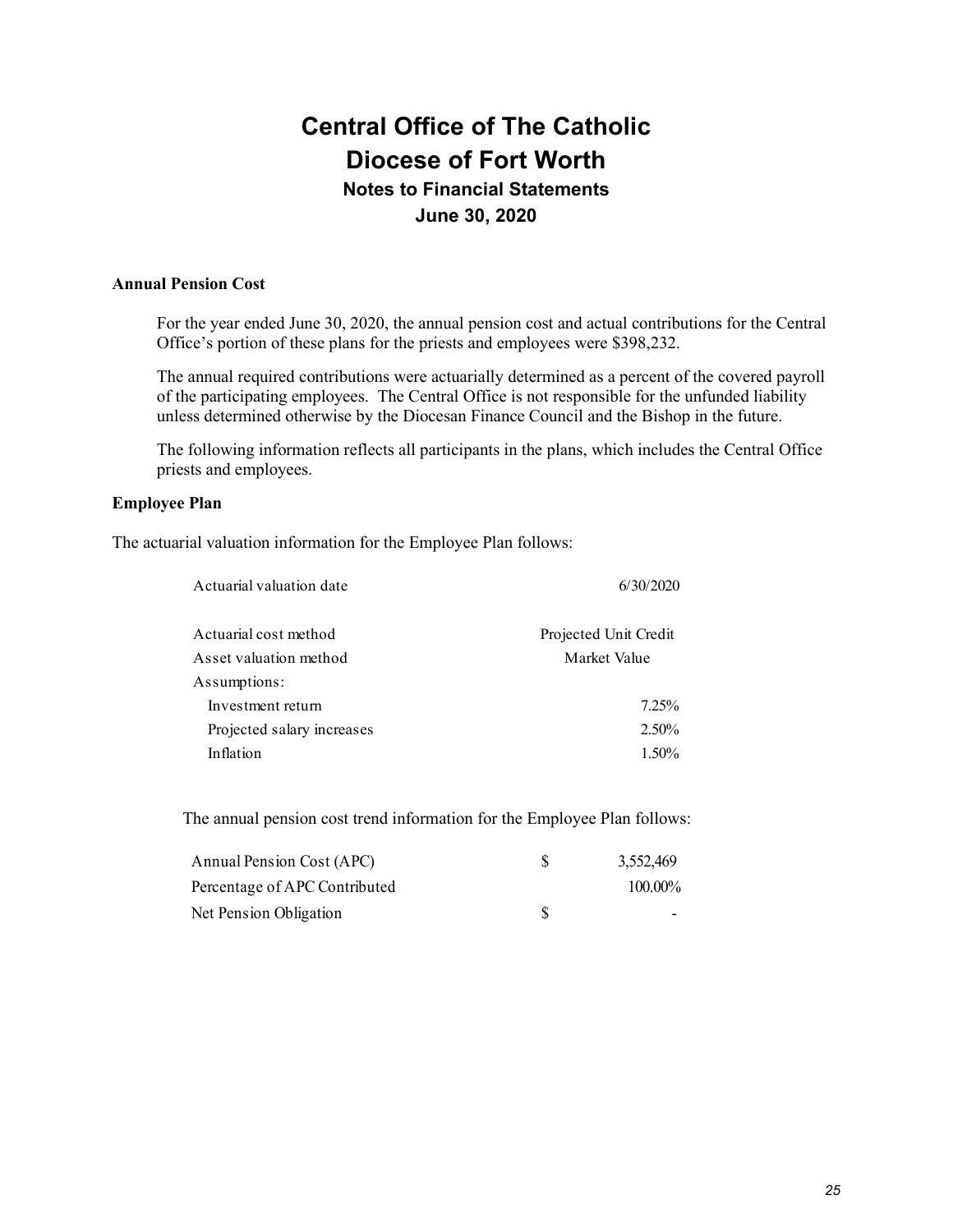## **June 30, 2020**

#### **Annual Pension Cost**

For the year ended June 30, 2020, the annual pension cost and actual contributions for the Central Office's portion of these plans for the priests and employees were \$398,232.

The annual required contributions were actuarially determined as a percent of the covered payroll of the participating employees. The Central Office is not responsible for the unfunded liability unless determined otherwise by the Diocesan Finance Council and the Bishop in the future.

The following information reflects all participants in the plans, which includes the Central Office priests and employees.

### **Employee Plan**

The actuarial valuation information for the Employee Plan follows:

| Actuarial valuation date   | 6/30/2020             |
|----------------------------|-----------------------|
| Actuarial cost method      | Projected Unit Credit |
| Asset valuation method     | Market Value          |
| Assumptions:               |                       |
| Investment return          | $7.25\%$              |
| Projected salary increases | $2.50\%$              |
| Inflation                  | $1.50\%$              |

The annual pension cost trend information for the Employee Plan follows:

| <b>Annual Pension Cost (APC)</b> | 3,552,469 |
|----------------------------------|-----------|
| Percentage of APC Contributed    | 100.00%   |
| Net Pension Obligation           |           |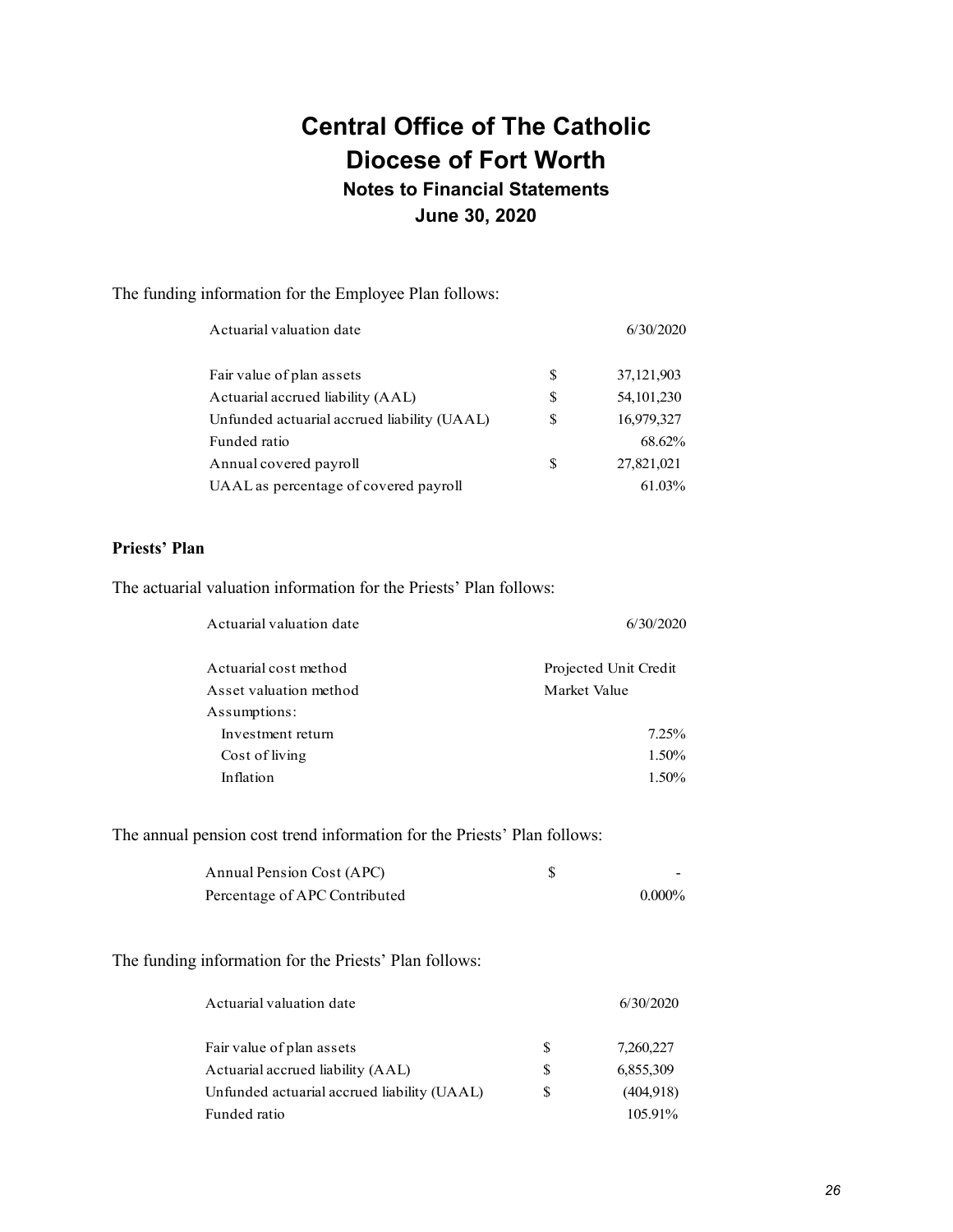## **June 30, 2020**

The funding information for the Employee Plan follows:

| Actuarial valuation date                    | 6/30/2020 |              |
|---------------------------------------------|-----------|--------------|
| Fair value of plan assets                   | S         | 37, 121, 903 |
| Actuarial accrued liability (AAL)           | \$        | 54, 101, 230 |
| Unfunded actuarial accrued liability (UAAL) | S         | 16,979,327   |
| Funded ratio                                |           | 68.62%       |
| Annual covered payroll                      | S         | 27,821,021   |
| UAAL as percentage of covered payroll       |           | 61.03%       |

### **Priests' Plan**

The actuarial valuation information for the Priests' Plan follows:

| Actuarial valuation date | 6/30/2020             |
|--------------------------|-----------------------|
| Actuarial cost method    | Projected Unit Credit |
| Asset valuation method   | Market Value          |
| Assumptions:             |                       |
| Investment return        | $7.25\%$              |
| Cost of living           | $1.50\%$              |
| Inflation                | $1.50\%$              |

The annual pension cost trend information for the Priests' Plan follows:

| Annual Pension Cost (APC)     | -         |
|-------------------------------|-----------|
| Percentage of APC Contributed | $0.000\%$ |

#### The funding information for the Priests' Plan follows:

| Actuarial valuation date                    |               | 6/30/2020 |
|---------------------------------------------|---------------|-----------|
| Fair value of plan assets                   | S             | 7,260,227 |
| Actuarial accrued liability (AAL)           | S             | 6,855,309 |
| Unfunded actuarial accrued liability (UAAL) | <sup>\$</sup> | (404,918) |
| Funded ratio                                |               | 105.91%   |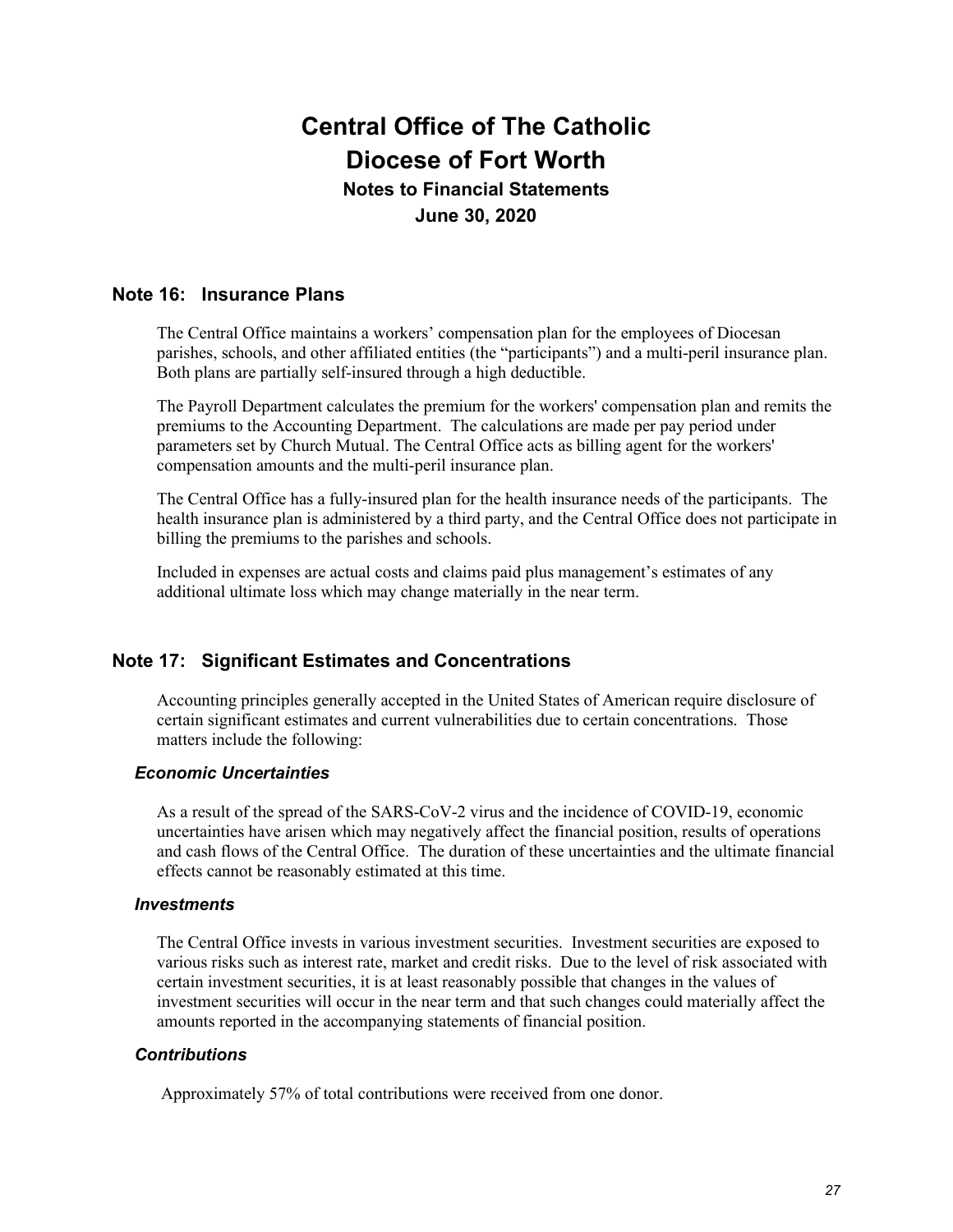## **June 30, 2020**

### **Note 16: Insurance Plans**

The Central Office maintains a workers' compensation plan for the employees of Diocesan parishes, schools, and other affiliated entities (the "participants") and a multi-peril insurance plan. Both plans are partially self-insured through a high deductible.

The Payroll Department calculates the premium for the workers' compensation plan and remits the premiums to the Accounting Department. The calculations are made per pay period under parameters set by Church Mutual. The Central Office acts as billing agent for the workers' compensation amounts and the multi-peril insurance plan.

The Central Office has a fully-insured plan for the health insurance needs of the participants. The health insurance plan is administered by a third party, and the Central Office does not participate in billing the premiums to the parishes and schools.

Included in expenses are actual costs and claims paid plus management's estimates of any additional ultimate loss which may change materially in the near term.

## **Note 17: Significant Estimates and Concentrations**

Accounting principles generally accepted in the United States of American require disclosure of certain significant estimates and current vulnerabilities due to certain concentrations. Those matters include the following:

#### *Economic Uncertainties*

As a result of the spread of the SARS-CoV-2 virus and the incidence of COVID-19, economic uncertainties have arisen which may negatively affect the financial position, results of operations and cash flows of the Central Office. The duration of these uncertainties and the ultimate financial effects cannot be reasonably estimated at this time.

#### *Investments*

The Central Office invests in various investment securities. Investment securities are exposed to various risks such as interest rate, market and credit risks. Due to the level of risk associated with certain investment securities, it is at least reasonably possible that changes in the values of investment securities will occur in the near term and that such changes could materially affect the amounts reported in the accompanying statements of financial position.

### *Contributions*

Approximately 57% of total contributions were received from one donor.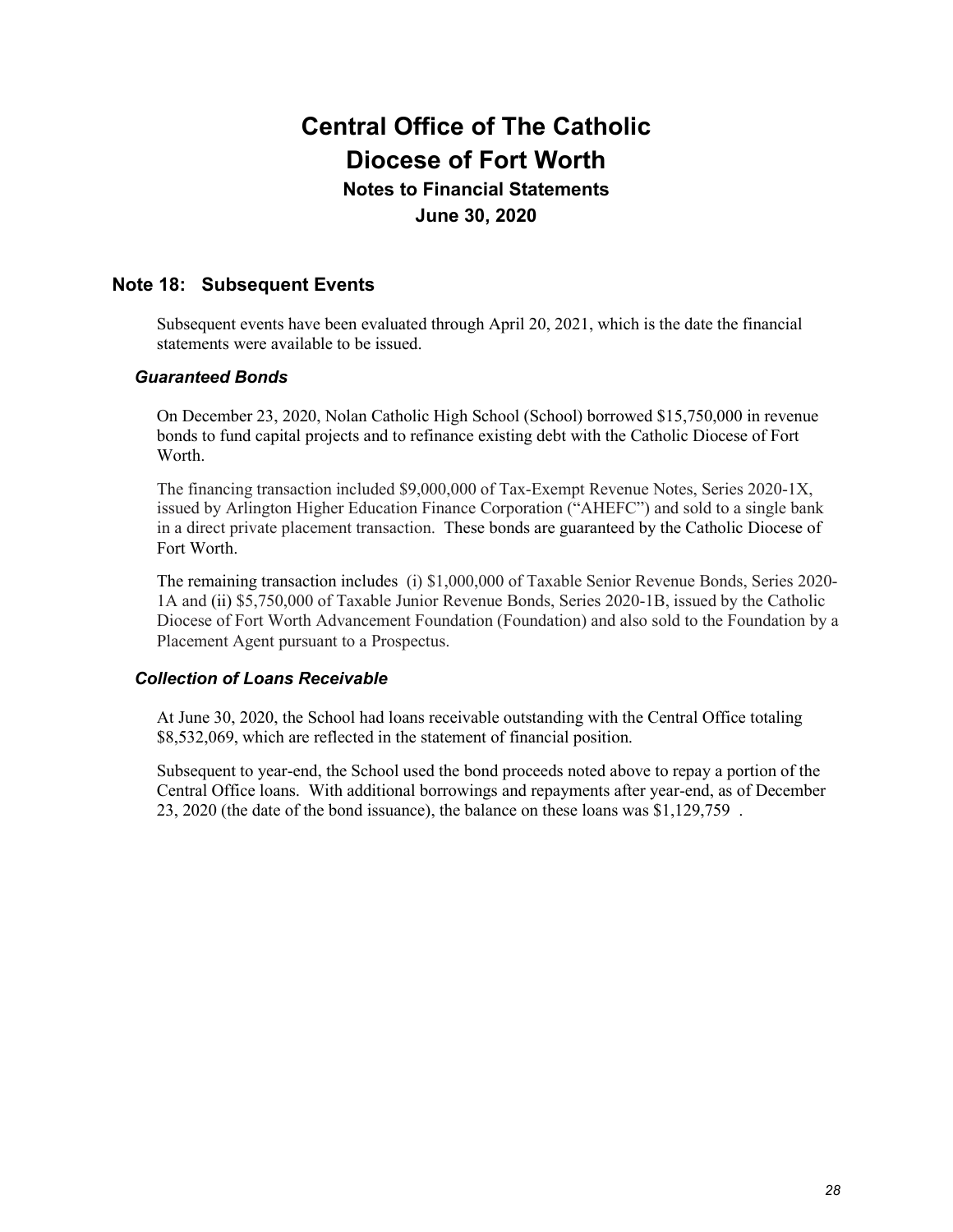## **June 30, 2020**

## **Note 18: Subsequent Events**

Subsequent events have been evaluated through April 20, 2021, which is the date the financial statements were available to be issued.

## *Guaranteed Bonds*

On December 23, 2020, Nolan Catholic High School (School) borrowed \$15,750,000 in revenue bonds to fund capital projects and to refinance existing debt with the Catholic Diocese of Fort Worth.

The financing transaction included \$9,000,000 of Tax-Exempt Revenue Notes, Series 2020-1X, issued by Arlington Higher Education Finance Corporation ("AHEFC") and sold to a single bank in a direct private placement transaction. These bonds are guaranteed by the Catholic Diocese of Fort Worth.

The remaining transaction includes (i) \$1,000,000 of Taxable Senior Revenue Bonds, Series 2020- 1A and (ii) \$5,750,000 of Taxable Junior Revenue Bonds, Series 2020-1B, issued by the Catholic Diocese of Fort Worth Advancement Foundation (Foundation) and also sold to the Foundation by a Placement Agent pursuant to a Prospectus.

### *Collection of Loans Receivable*

At June 30, 2020, the School had loans receivable outstanding with the Central Office totaling \$8,532,069, which are reflected in the statement of financial position.

Subsequent to year-end, the School used the bond proceeds noted above to repay a portion of the Central Office loans. With additional borrowings and repayments after year-end, as of December 23, 2020 (the date of the bond issuance), the balance on these loans was \$1,129,759 .